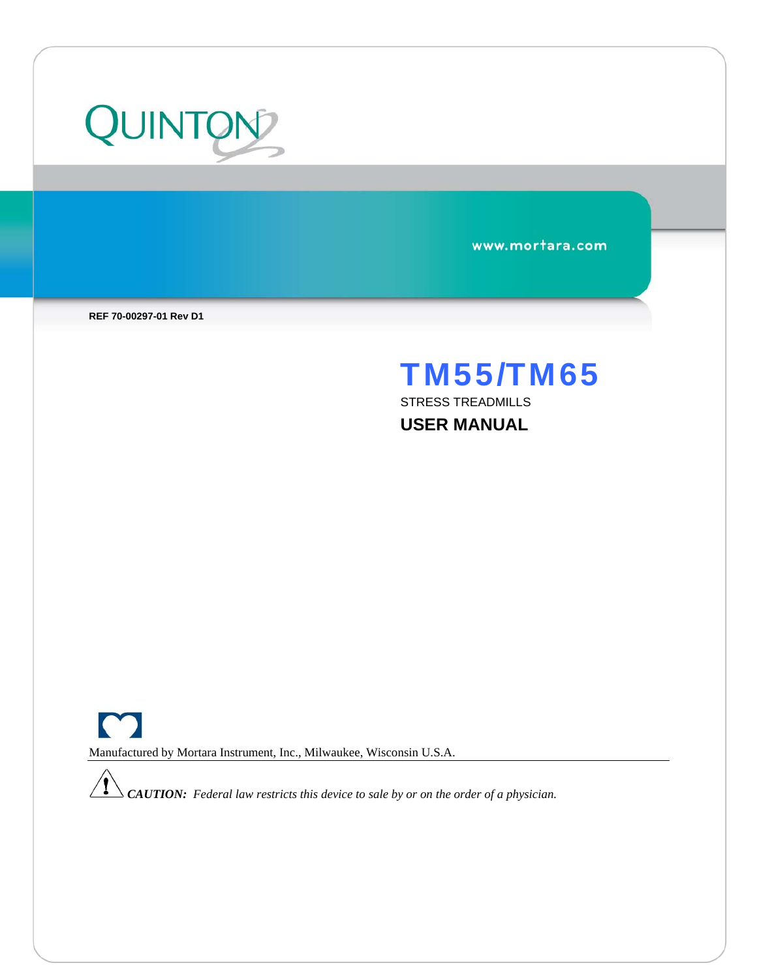

www.mortara.com

**REF 70-00297-01 Rev D1** 

## TM55/TM65 STRESS TREADMILLS

**USER MANUAL** 

M Manufactured by Mortara Instrument, Inc., Milwaukee, Wisconsin U.S.A.

Ţ *CAUTION: Federal law restricts this device to sale by or on the order of a physician.*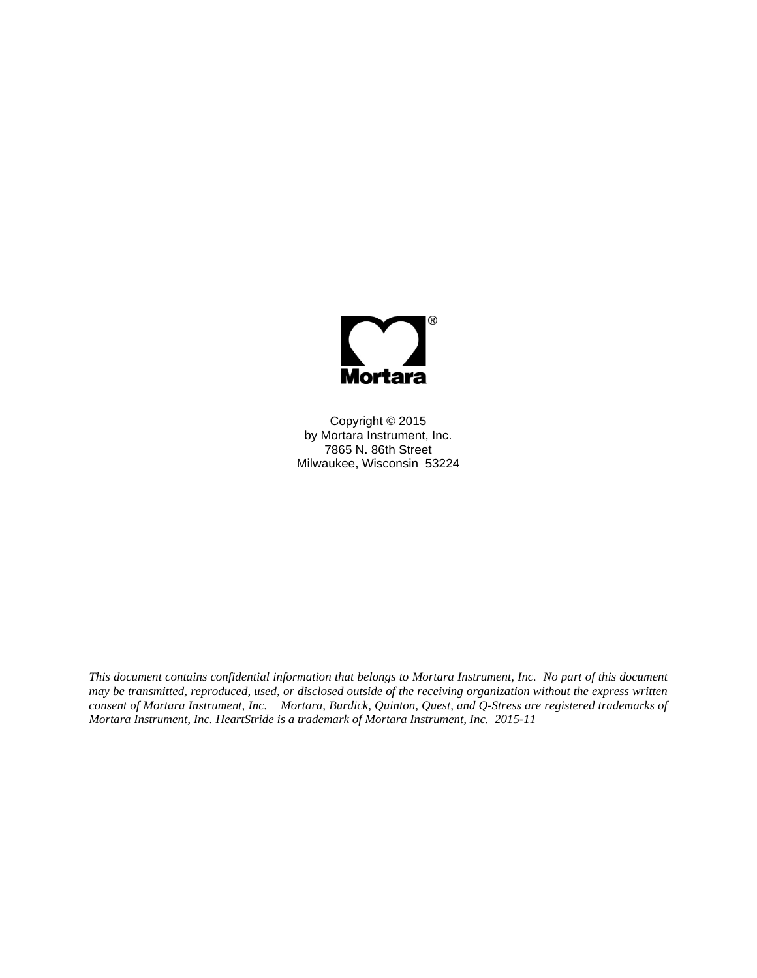

Copyright © 2015 by Mortara Instrument, Inc. 7865 N. 86th Street Milwaukee, Wisconsin 53224

*This document contains confidential information that belongs to Mortara Instrument, Inc. No part of this document may be transmitted, reproduced, used, or disclosed outside of the receiving organization without the express written consent of Mortara Instrument, Inc. Mortara, Burdick, Quinton, Quest, and Q-Stress are registered trademarks of Mortara Instrument, Inc. HeartStride is a trademark of Mortara Instrument, Inc. 2015-11*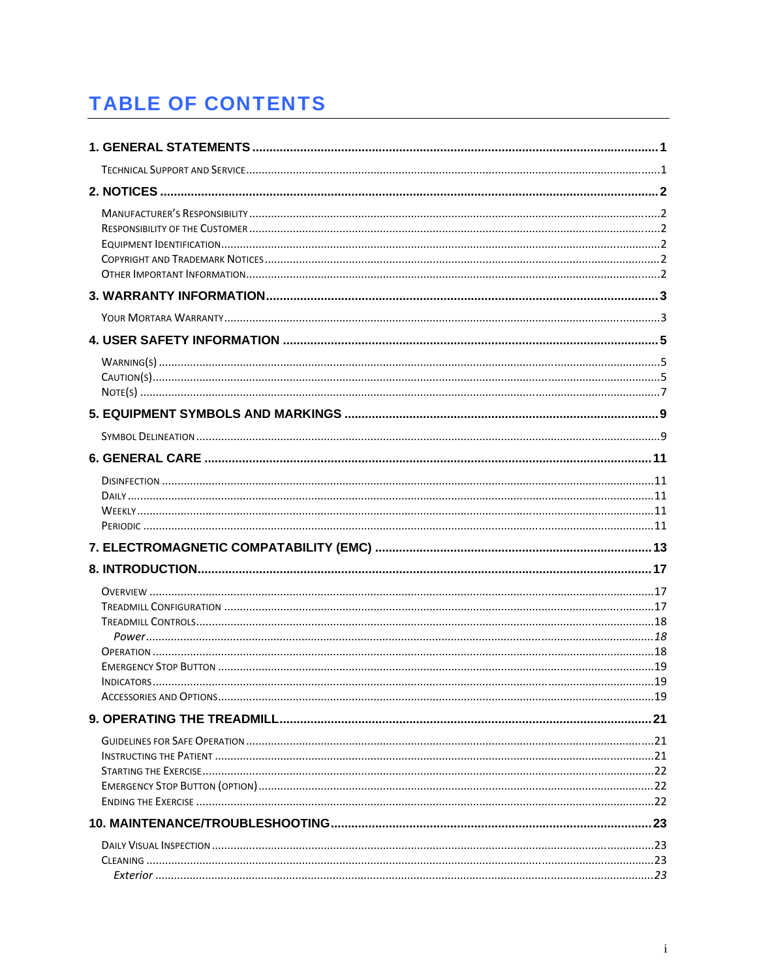## **TABLE OF CONTENTS**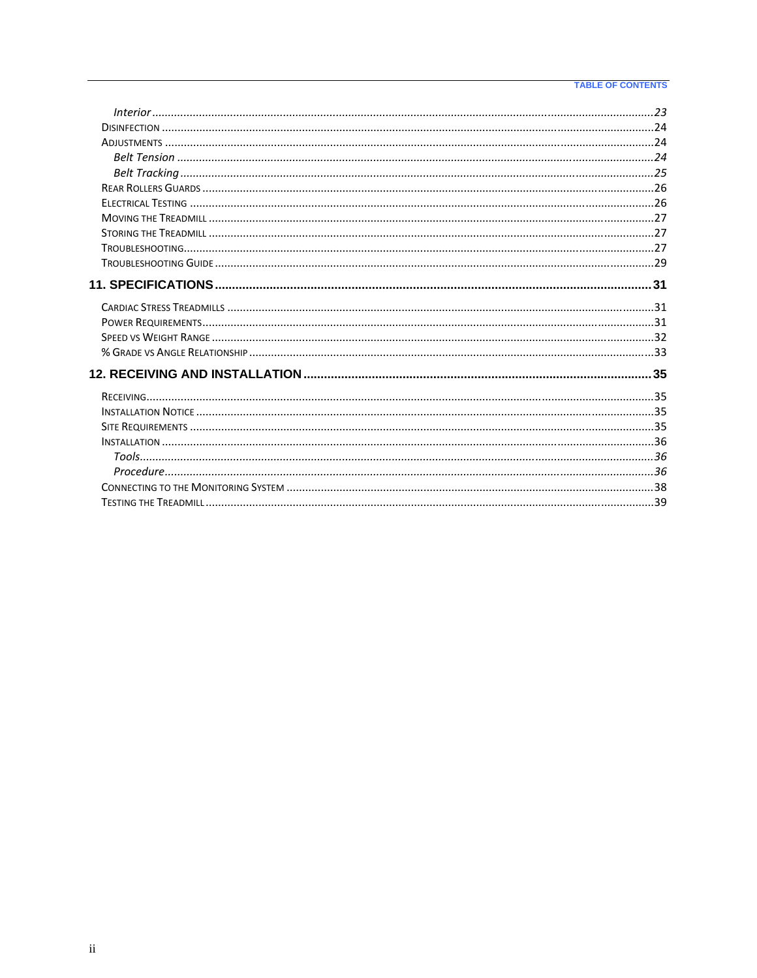#### **TABLE OF CONTENTS**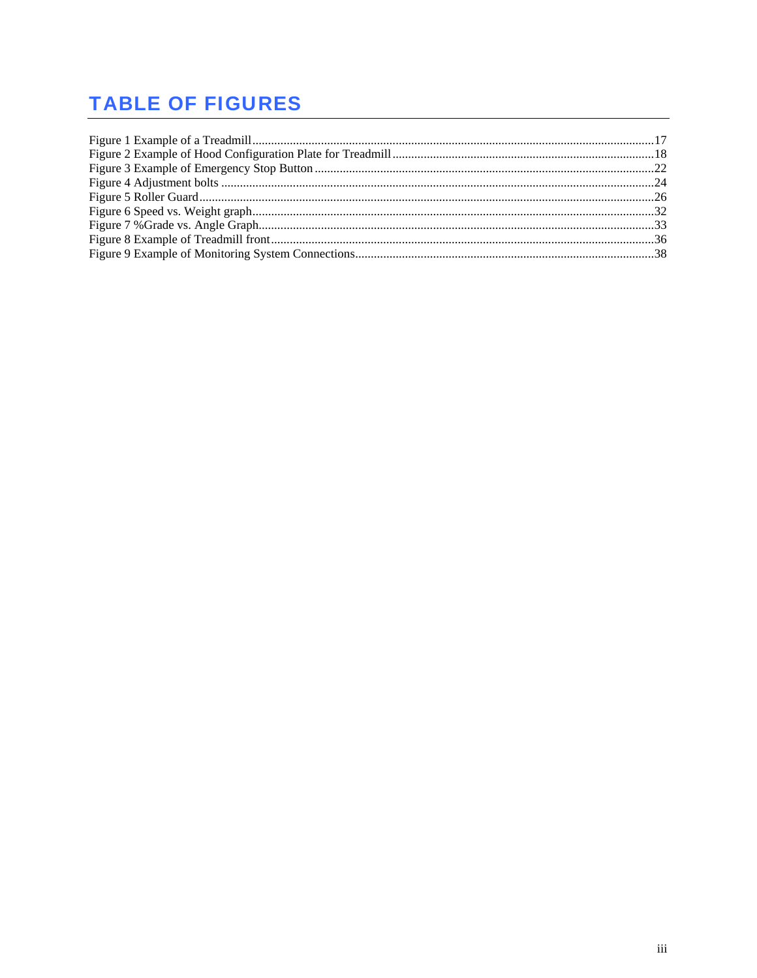## **TABLE OF FIGURES**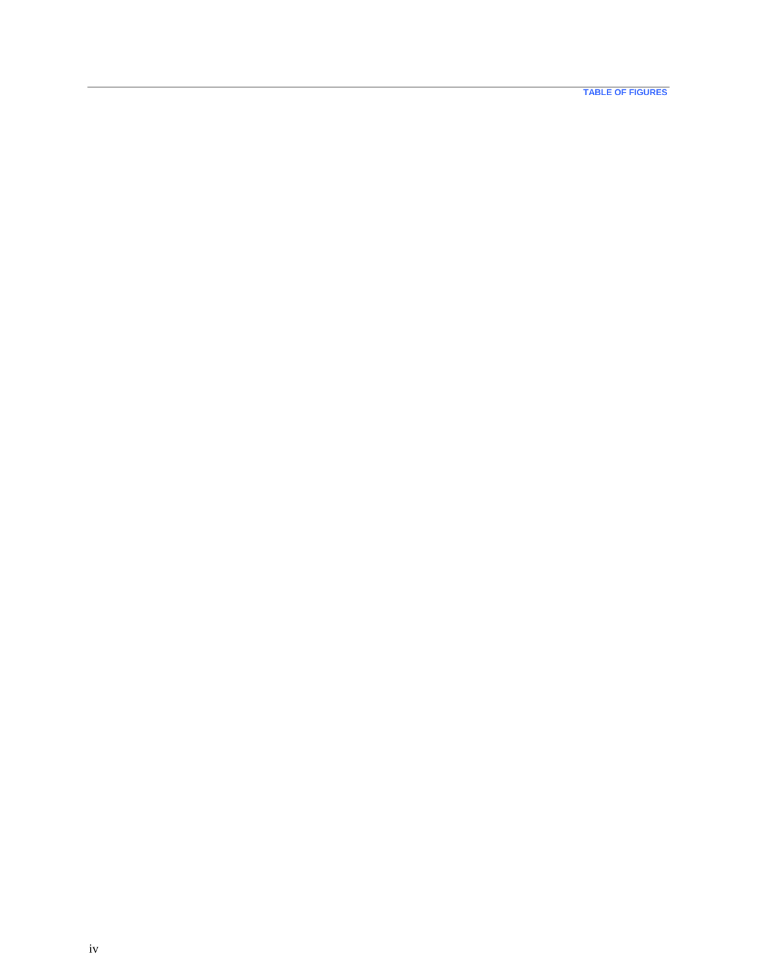**TABLE OF FIGURES**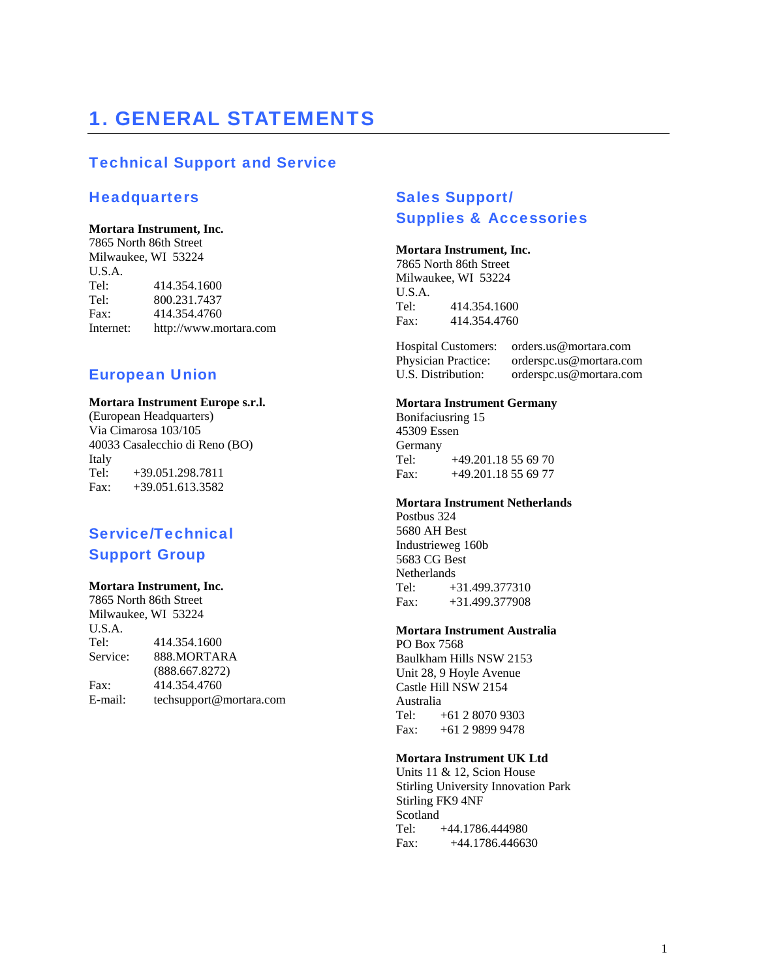## 1. GENERAL STATEMENTS

### Technical Support and Service

#### **Headquarters**

#### **Mortara Instrument, Inc.**

7865 North 86th Street Milwaukee, WI 53224 U.S.A. Tel: 414.354.1600 Tel: 800.231.7437 Fax: 414.354.4760 Internet: http://www.mortara.com

## European Union

#### **Mortara Instrument Europe s.r.l.**

(European Headquarters) Via Cimarosa 103/105 40033 Casalecchio di Reno (BO) Italy Tel: +39.051.298.7811 Fax: +39.051.613.3582

## Service/Technical Support Group

#### **Mortara Instrument, Inc.**

7865 North 86th Street Milwaukee, WI 53224 U.S.A. Tel: 414.354.1600 Service: 888.MORTARA (888.667.8272) Fax: 414.354.4760 E-mail: techsupport@mortara.com

## Sales Support/ Supplies & Accessories

#### **Mortara Instrument, Inc.**

7865 North 86th Street Milwaukee, WI 53224 U.S.A. Tel: 414.354.1600 Fax: 414.354.4760

Hospital Customers: orders.us@mortara.com Physician Practice: orderspc.us@mortara.com<br>U.S. Distribution: orderspc.us@mortara.com orderspc.us@mortara.com

#### **Mortara Instrument Germany**

Bonifaciusring 15 45309 Essen Germany Tel: +49.201.18 55 69 70 Fax: +49.201.18 55 69 77

#### **Mortara Instrument Netherlands**

Postbus 324 5680 AH Best Industrieweg 160b 5683 CG Best **Netherlands** Tel: +31.499.377310 Fax: +31.499.377908

#### **Mortara Instrument Australia**

PO Box 7568 Baulkham Hills NSW 2153 Unit 28, 9 Hoyle Avenue Castle Hill NSW 2154 Australia Tel: +61 2 8070 9303 Fax: +61 2 9899 9478

#### **Mortara Instrument UK Ltd**

Units 11 & 12, Scion House Stirling University Innovation Park Stirling FK9 4NF Scotland Tel: +44.1786.444980 Fax: +44.1786.446630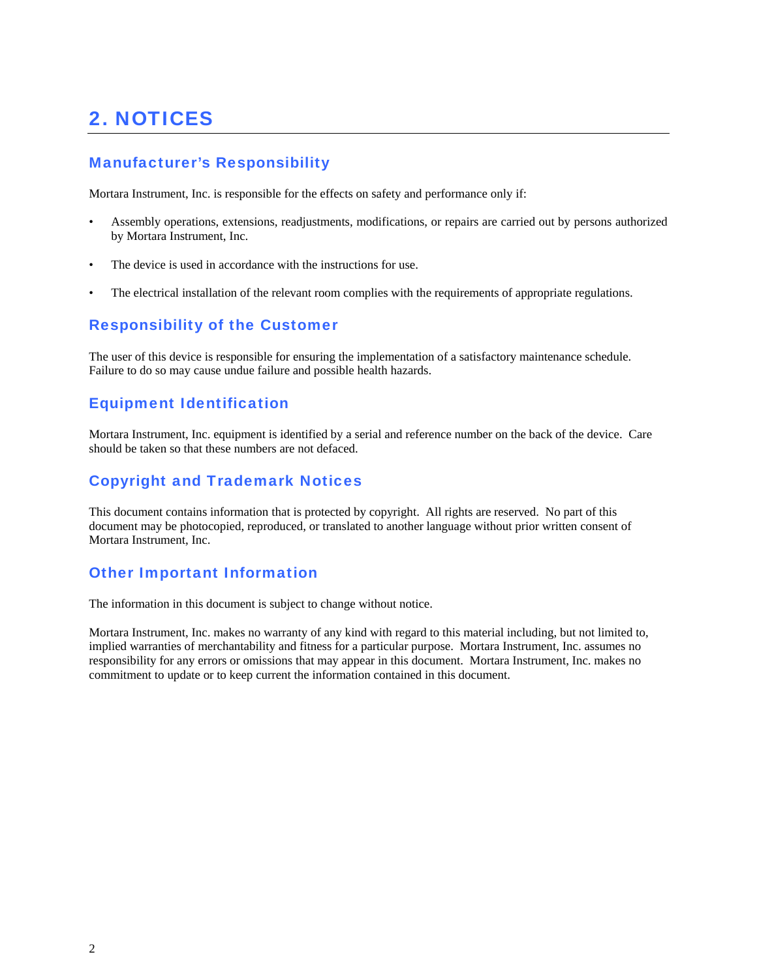## 2. NOTICES

### Manufacturer's Responsibility

Mortara Instrument, Inc. is responsible for the effects on safety and performance only if:

- Assembly operations, extensions, readjustments, modifications, or repairs are carried out by persons authorized by Mortara Instrument, Inc.
- The device is used in accordance with the instructions for use.
- The electrical installation of the relevant room complies with the requirements of appropriate regulations.

### Responsibility of the Customer

The user of this device is responsible for ensuring the implementation of a satisfactory maintenance schedule. Failure to do so may cause undue failure and possible health hazards.

## Equipment Identification

Mortara Instrument, Inc. equipment is identified by a serial and reference number on the back of the device. Care should be taken so that these numbers are not defaced.

## Copyright and Trademark Notices

This document contains information that is protected by copyright. All rights are reserved. No part of this document may be photocopied, reproduced, or translated to another language without prior written consent of Mortara Instrument, Inc.

#### Other Important Information

The information in this document is subject to change without notice.

Mortara Instrument, Inc. makes no warranty of any kind with regard to this material including, but not limited to, implied warranties of merchantability and fitness for a particular purpose. Mortara Instrument, Inc. assumes no responsibility for any errors or omissions that may appear in this document. Mortara Instrument, Inc. makes no commitment to update or to keep current the information contained in this document.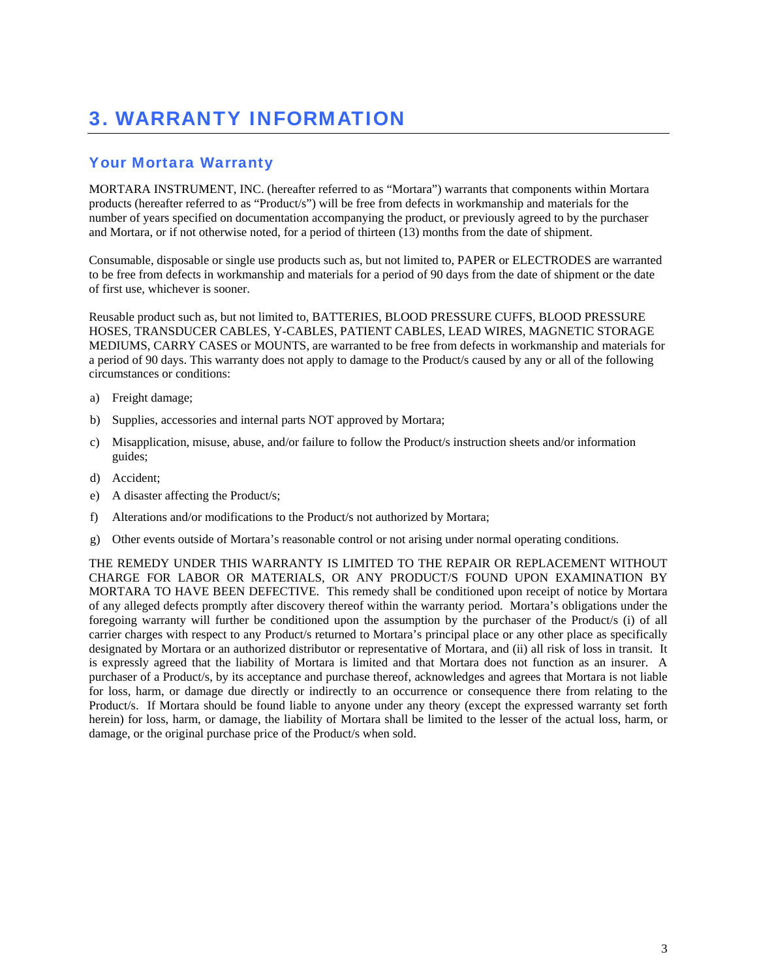## 3. WARRANTY INFORMATION

## Your Mortara Warranty

MORTARA INSTRUMENT, INC. (hereafter referred to as "Mortara") warrants that components within Mortara products (hereafter referred to as "Product/s") will be free from defects in workmanship and materials for the number of years specified on documentation accompanying the product, or previously agreed to by the purchaser and Mortara, or if not otherwise noted, for a period of thirteen (13) months from the date of shipment.

Consumable, disposable or single use products such as, but not limited to, PAPER or ELECTRODES are warranted to be free from defects in workmanship and materials for a period of 90 days from the date of shipment or the date of first use, whichever is sooner.

Reusable product such as, but not limited to, BATTERIES, BLOOD PRESSURE CUFFS, BLOOD PRESSURE HOSES, TRANSDUCER CABLES, Y-CABLES, PATIENT CABLES, LEAD WIRES, MAGNETIC STORAGE MEDIUMS, CARRY CASES or MOUNTS, are warranted to be free from defects in workmanship and materials for a period of 90 days. This warranty does not apply to damage to the Product/s caused by any or all of the following circumstances or conditions:

- a) Freight damage;
- b) Supplies, accessories and internal parts NOT approved by Mortara;
- c) Misapplication, misuse, abuse, and/or failure to follow the Product/s instruction sheets and/or information guides;
- d) Accident;
- e) A disaster affecting the Product/s;
- f) Alterations and/or modifications to the Product/s not authorized by Mortara;
- g) Other events outside of Mortara's reasonable control or not arising under normal operating conditions.

THE REMEDY UNDER THIS WARRANTY IS LIMITED TO THE REPAIR OR REPLACEMENT WITHOUT CHARGE FOR LABOR OR MATERIALS, OR ANY PRODUCT/S FOUND UPON EXAMINATION BY MORTARA TO HAVE BEEN DEFECTIVE. This remedy shall be conditioned upon receipt of notice by Mortara of any alleged defects promptly after discovery thereof within the warranty period. Mortara's obligations under the foregoing warranty will further be conditioned upon the assumption by the purchaser of the Product/s (i) of all carrier charges with respect to any Product/s returned to Mortara's principal place or any other place as specifically designated by Mortara or an authorized distributor or representative of Mortara, and (ii) all risk of loss in transit. It is expressly agreed that the liability of Mortara is limited and that Mortara does not function as an insurer. A purchaser of a Product/s, by its acceptance and purchase thereof, acknowledges and agrees that Mortara is not liable for loss, harm, or damage due directly or indirectly to an occurrence or consequence there from relating to the Product/s. If Mortara should be found liable to anyone under any theory (except the expressed warranty set forth herein) for loss, harm, or damage, the liability of Mortara shall be limited to the lesser of the actual loss, harm, or damage, or the original purchase price of the Product/s when sold.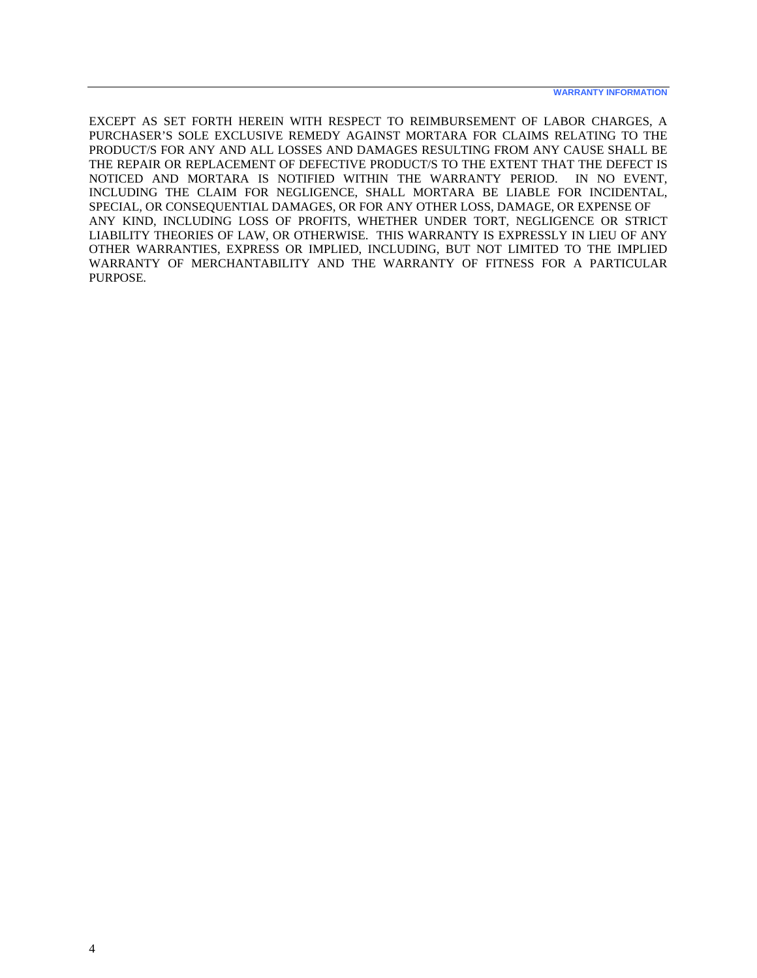EXCEPT AS SET FORTH HEREIN WITH RESPECT TO REIMBURSEMENT OF LABOR CHARGES, A PURCHASER'S SOLE EXCLUSIVE REMEDY AGAINST MORTARA FOR CLAIMS RELATING TO THE PRODUCT/S FOR ANY AND ALL LOSSES AND DAMAGES RESULTING FROM ANY CAUSE SHALL BE THE REPAIR OR REPLACEMENT OF DEFECTIVE PRODUCT/S TO THE EXTENT THAT THE DEFECT IS NOTICED AND MORTARA IS NOTIFIED WITHIN THE WARRANTY PERIOD. IN NO EVENT, INCLUDING THE CLAIM FOR NEGLIGENCE, SHALL MORTARA BE LIABLE FOR INCIDENTAL, SPECIAL, OR CONSEQUENTIAL DAMAGES, OR FOR ANY OTHER LOSS, DAMAGE, OR EXPENSE OF ANY KIND, INCLUDING LOSS OF PROFITS, WHETHER UNDER TORT, NEGLIGENCE OR STRICT LIABILITY THEORIES OF LAW, OR OTHERWISE. THIS WARRANTY IS EXPRESSLY IN LIEU OF ANY OTHER WARRANTIES, EXPRESS OR IMPLIED, INCLUDING, BUT NOT LIMITED TO THE IMPLIED WARRANTY OF MERCHANTABILITY AND THE WARRANTY OF FITNESS FOR A PARTICULAR PURPOSE.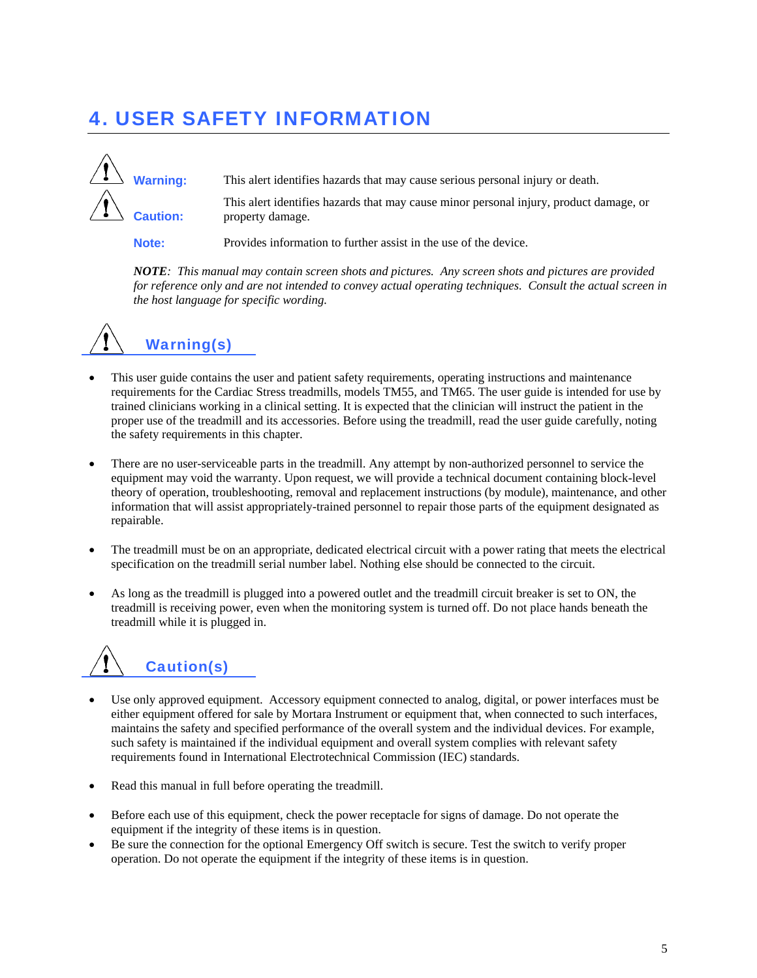## 4. USER SAFETY INFORMATION

**Warning:** This alert identifies hazards that may cause serious personal injury or death.

This alert identifies hazards that may cause minor personal injury, product damage, or property damage.

**Note:** Provides information to further assist in the use of the device.

*NOTE: This manual may contain screen shots and pictures. Any screen shots and pictures are provided for reference only and are not intended to convey actual operating techniques. Consult the actual screen in the host language for specific wording.* 



**Caution:**

- This user guide contains the user and patient safety requirements, operating instructions and maintenance requirements for the Cardiac Stress treadmills, models TM55, and TM65. The user guide is intended for use by trained clinicians working in a clinical setting. It is expected that the clinician will instruct the patient in the proper use of the treadmill and its accessories. Before using the treadmill, read the user guide carefully, noting the safety requirements in this chapter.
- There are no user-serviceable parts in the treadmill. Any attempt by non-authorized personnel to service the equipment may void the warranty. Upon request, we will provide a technical document containing block-level theory of operation, troubleshooting, removal and replacement instructions (by module), maintenance, and other information that will assist appropriately-trained personnel to repair those parts of the equipment designated as repairable.
- The treadmill must be on an appropriate, dedicated electrical circuit with a power rating that meets the electrical specification on the treadmill serial number label. Nothing else should be connected to the circuit.
- As long as the treadmill is plugged into a powered outlet and the treadmill circuit breaker is set to ON, the treadmill is receiving power, even when the monitoring system is turned off. Do not place hands beneath the treadmill while it is plugged in.



- Use only approved equipment. Accessory equipment connected to analog, digital, or power interfaces must be either equipment offered for sale by Mortara Instrument or equipment that, when connected to such interfaces, maintains the safety and specified performance of the overall system and the individual devices. For example, such safety is maintained if the individual equipment and overall system complies with relevant safety requirements found in International Electrotechnical Commission (IEC) standards.
- Read this manual in full before operating the treadmill.
- Before each use of this equipment, check the power receptacle for signs of damage. Do not operate the equipment if the integrity of these items is in question.
- Be sure the connection for the optional Emergency Off switch is secure. Test the switch to verify proper operation. Do not operate the equipment if the integrity of these items is in question.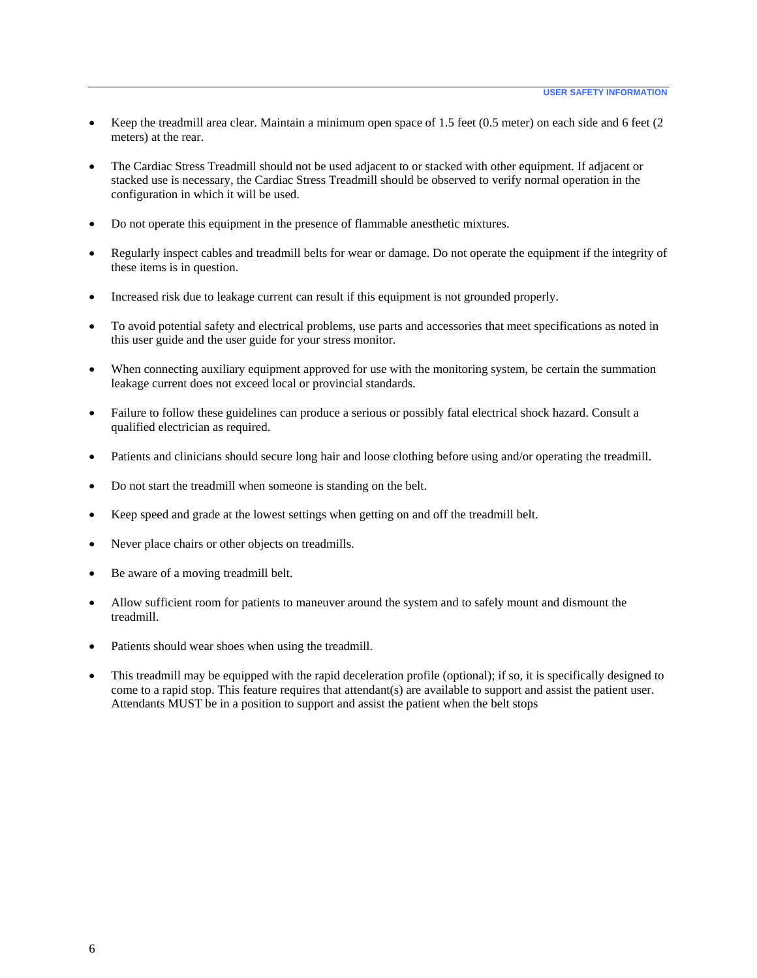- Keep the treadmill area clear. Maintain a minimum open space of 1.5 feet (0.5 meter) on each side and 6 feet (2 meters) at the rear.
- The Cardiac Stress Treadmill should not be used adjacent to or stacked with other equipment. If adjacent or stacked use is necessary, the Cardiac Stress Treadmill should be observed to verify normal operation in the configuration in which it will be used.
- Do not operate this equipment in the presence of flammable anesthetic mixtures.
- Regularly inspect cables and treadmill belts for wear or damage. Do not operate the equipment if the integrity of these items is in question.
- Increased risk due to leakage current can result if this equipment is not grounded properly.
- To avoid potential safety and electrical problems, use parts and accessories that meet specifications as noted in this user guide and the user guide for your stress monitor.
- When connecting auxiliary equipment approved for use with the monitoring system, be certain the summation leakage current does not exceed local or provincial standards.
- Failure to follow these guidelines can produce a serious or possibly fatal electrical shock hazard. Consult a qualified electrician as required.
- Patients and clinicians should secure long hair and loose clothing before using and/or operating the treadmill.
- Do not start the treadmill when someone is standing on the belt.
- Keep speed and grade at the lowest settings when getting on and off the treadmill belt.
- Never place chairs or other objects on treadmills.
- Be aware of a moving treadmill belt.
- Allow sufficient room for patients to maneuver around the system and to safely mount and dismount the treadmill.
- Patients should wear shoes when using the treadmill.
- This treadmill may be equipped with the rapid deceleration profile (optional); if so, it is specifically designed to come to a rapid stop. This feature requires that attendant(s) are available to support and assist the patient user. Attendants MUST be in a position to support and assist the patient when the belt stops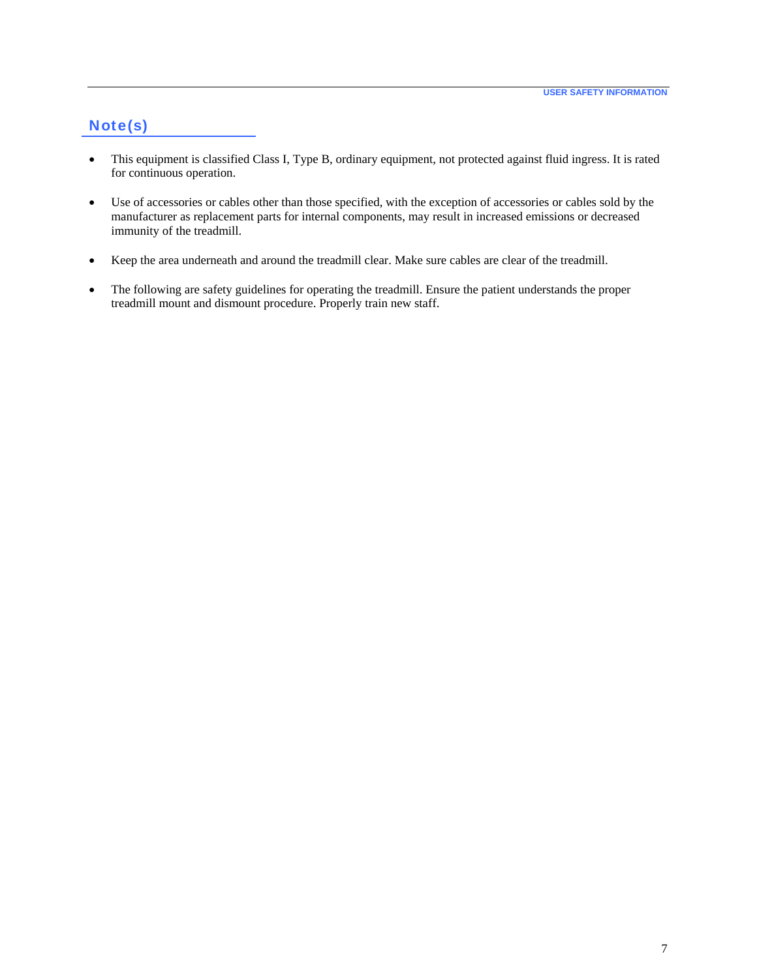## Note(s)

- This equipment is classified Class I, Type B, ordinary equipment, not protected against fluid ingress. It is rated for continuous operation.
- Use of accessories or cables other than those specified, with the exception of accessories or cables sold by the manufacturer as replacement parts for internal components, may result in increased emissions or decreased immunity of the treadmill.
- Keep the area underneath and around the treadmill clear. Make sure cables are clear of the treadmill.
- The following are safety guidelines for operating the treadmill. Ensure the patient understands the proper treadmill mount and dismount procedure. Properly train new staff.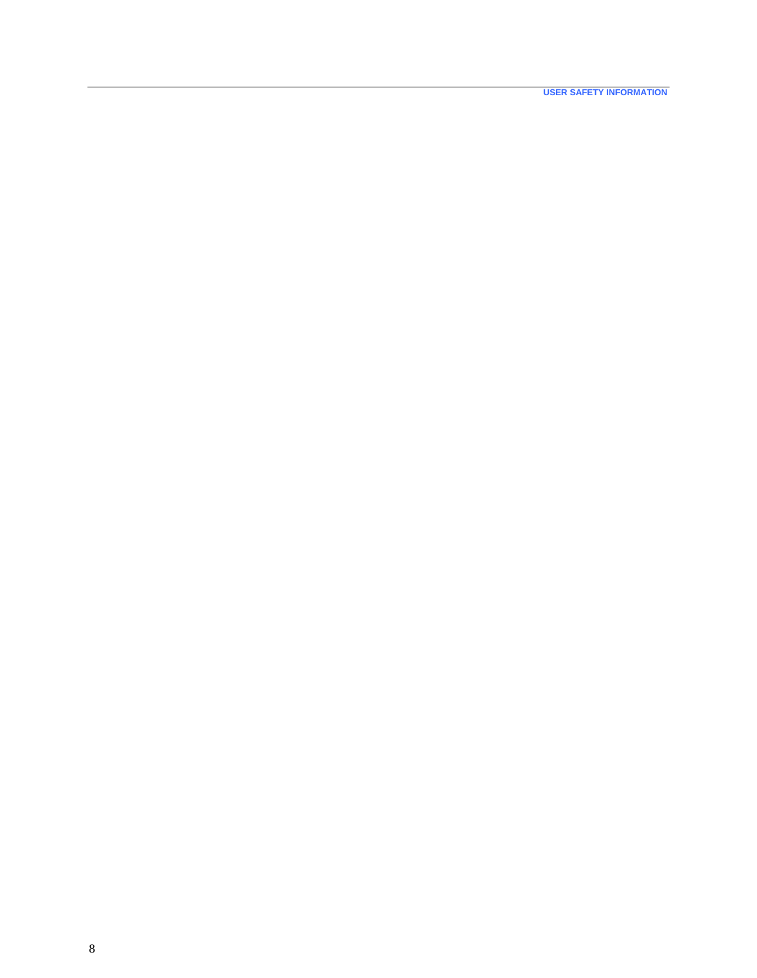**USER SAFETY INFORMATION**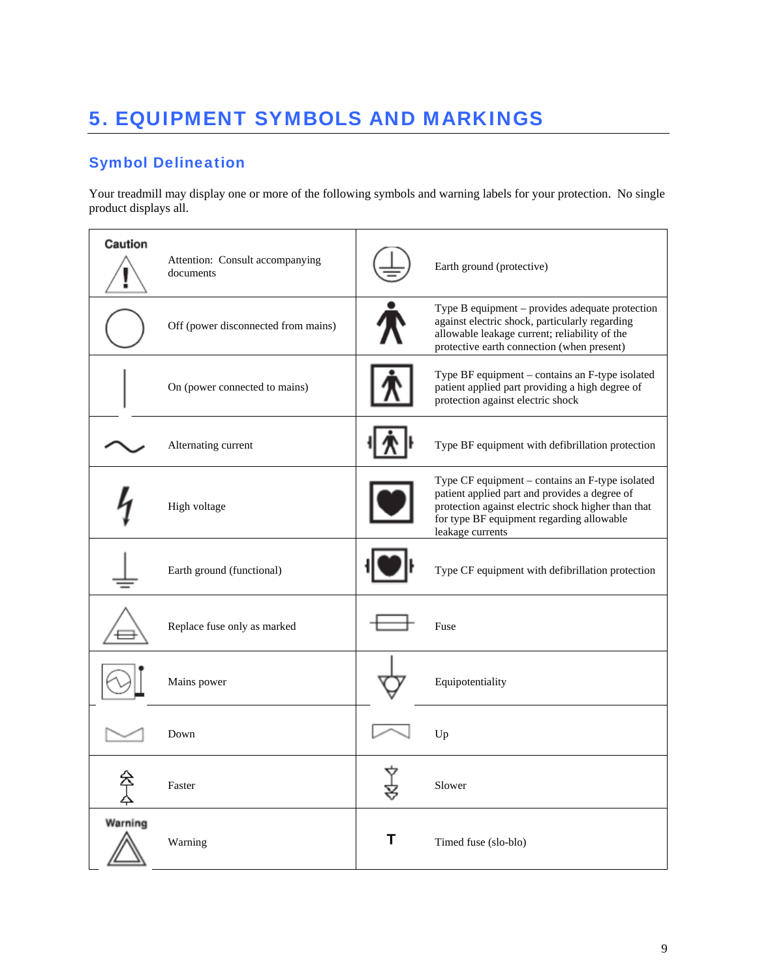## 5. EQUIPMENT SYMBOLS AND MARKINGS

## Symbol Delineation

Your treadmill may display one or more of the following symbols and warning labels for your protection. No single product displays all.

| Caution | Attention: Consult accompanying<br>documents |   | Earth ground (protective)                                                                                                                                                                                               |
|---------|----------------------------------------------|---|-------------------------------------------------------------------------------------------------------------------------------------------------------------------------------------------------------------------------|
|         | Off (power disconnected from mains)          |   | Type B equipment - provides adequate protection<br>against electric shock, particularly regarding<br>allowable leakage current; reliability of the<br>protective earth connection (when present)                        |
|         | On (power connected to mains)                |   | Type BF equipment – contains an F-type isolated<br>patient applied part providing a high degree of<br>protection against electric shock                                                                                 |
|         | Alternating current                          |   | Type BF equipment with defibrillation protection                                                                                                                                                                        |
|         | High voltage                                 |   | Type CF equipment - contains an F-type isolated<br>patient applied part and provides a degree of<br>protection against electric shock higher than that<br>for type BF equipment regarding allowable<br>leakage currents |
|         | Earth ground (functional)                    |   | Type CF equipment with defibrillation protection                                                                                                                                                                        |
|         | Replace fuse only as marked                  |   | Fuse                                                                                                                                                                                                                    |
|         | Mains power                                  |   | Equipotentiality                                                                                                                                                                                                        |
|         | Down                                         |   | Up                                                                                                                                                                                                                      |
|         | Faster                                       |   | Slower                                                                                                                                                                                                                  |
| Warning | Warning                                      | т | Timed fuse (slo-blo)                                                                                                                                                                                                    |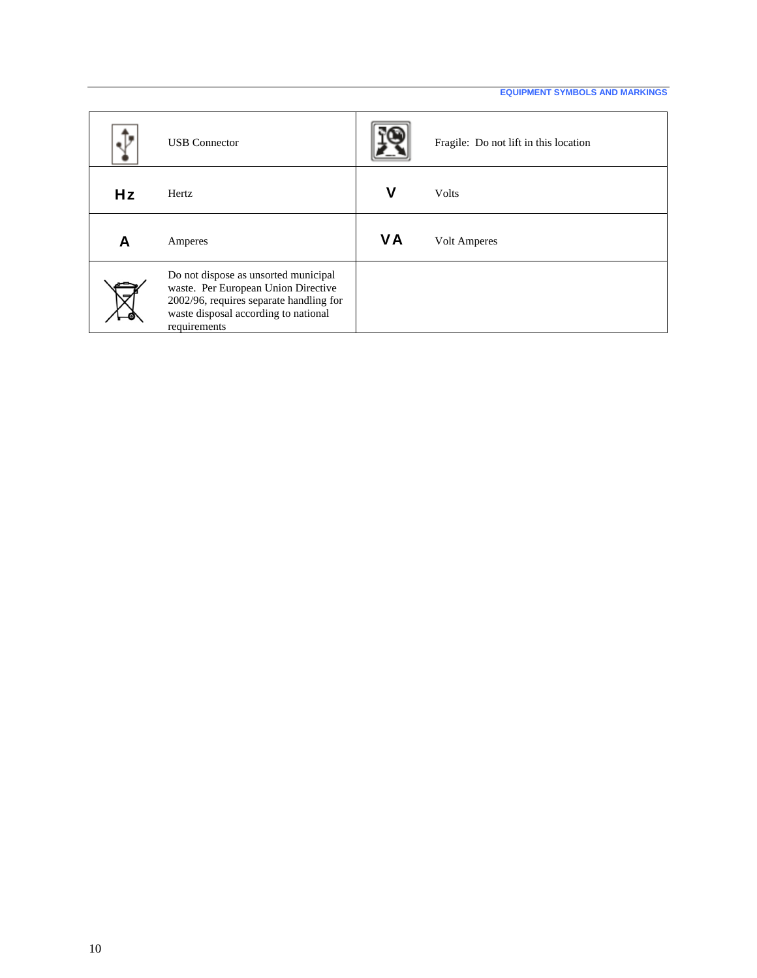**EQUIPMENT SYMBOLS AND MARKINGS** 

|    | <b>USB</b> Connector                                                                                                                                                           |           | Fragile: Do not lift in this location |
|----|--------------------------------------------------------------------------------------------------------------------------------------------------------------------------------|-----------|---------------------------------------|
| Hz | Hertz                                                                                                                                                                          | v         | Volts                                 |
| А  | Amperes                                                                                                                                                                        | <b>VA</b> | Volt Amperes                          |
|    | Do not dispose as unsorted municipal<br>waste. Per European Union Directive<br>2002/96, requires separate handling for<br>waste disposal according to national<br>requirements |           |                                       |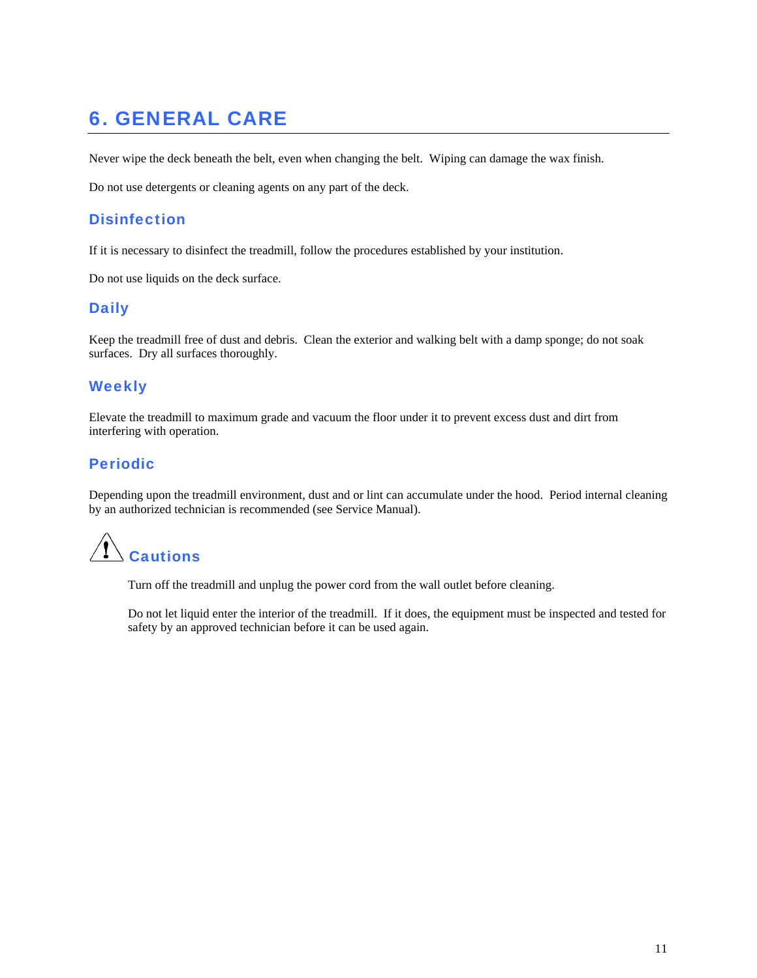## 6. GENERAL CARE

Never wipe the deck beneath the belt, even when changing the belt. Wiping can damage the wax finish.

Do not use detergents or cleaning agents on any part of the deck.

### **Disinfection**

If it is necessary to disinfect the treadmill, follow the procedures established by your institution.

Do not use liquids on the deck surface.

### **Daily**

Keep the treadmill free of dust and debris. Clean the exterior and walking belt with a damp sponge; do not soak surfaces. Dry all surfaces thoroughly.

### **Weekly**

Elevate the treadmill to maximum grade and vacuum the floor under it to prevent excess dust and dirt from interfering with operation.

### Periodic

Depending upon the treadmill environment, dust and or lint can accumulate under the hood. Period internal cleaning by an authorized technician is recommended (see Service Manual).

# **Cautions**

Turn off the treadmill and unplug the power cord from the wall outlet before cleaning.

Do not let liquid enter the interior of the treadmill. If it does, the equipment must be inspected and tested for safety by an approved technician before it can be used again.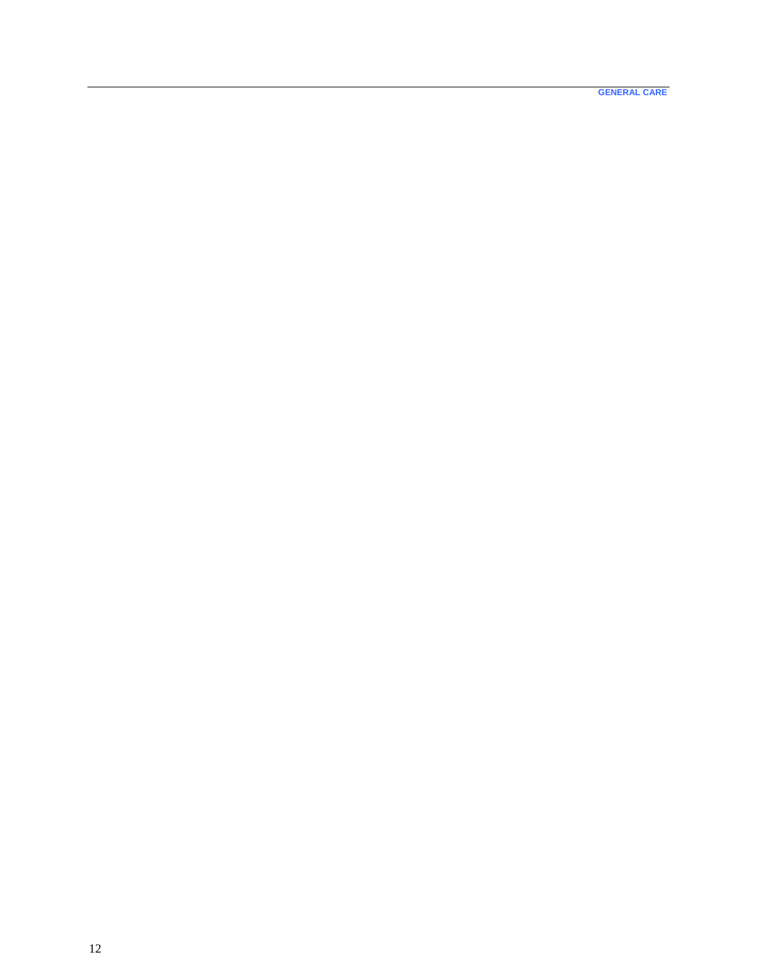**GENERAL CARE**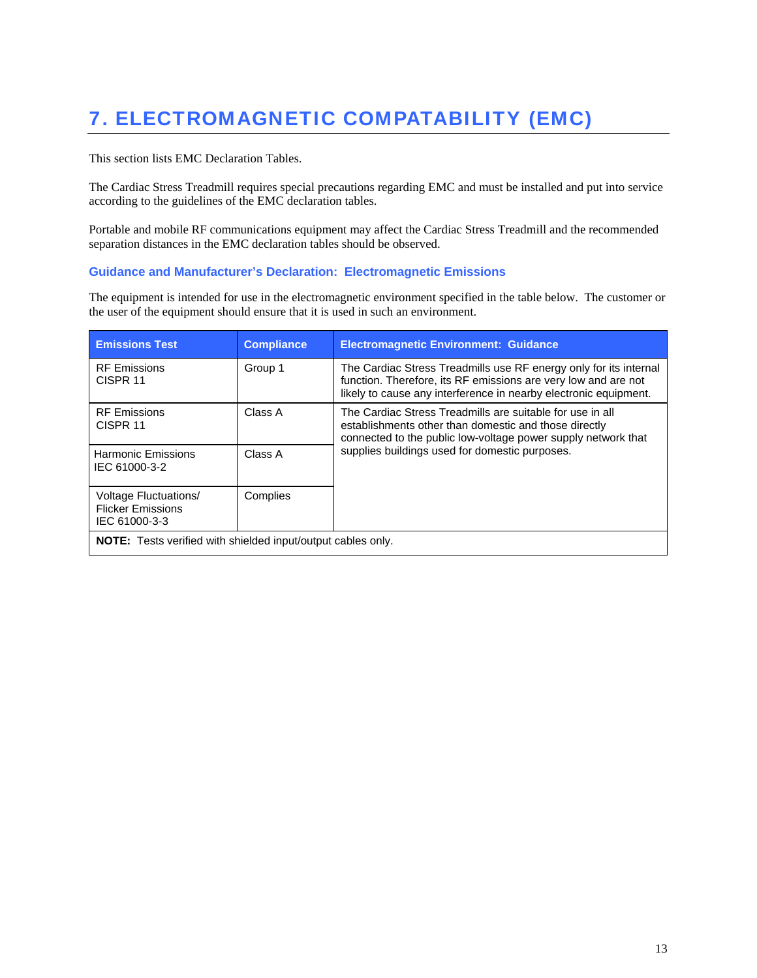## 7. ELECTROMAGNETIC COMPATABILITY (EMC)

This section lists EMC Declaration Tables.

The Cardiac Stress Treadmill requires special precautions regarding EMC and must be installed and put into service according to the guidelines of the EMC declaration tables.

Portable and mobile RF communications equipment may affect the Cardiac Stress Treadmill and the recommended separation distances in the EMC declaration tables should be observed.

#### **Guidance and Manufacturer's Declaration: Electromagnetic Emissions**

The equipment is intended for use in the electromagnetic environment specified in the table below. The customer or the user of the equipment should ensure that it is used in such an environment.

| <b>Emissions Test</b>                                               | <b>Compliance</b> | <b>Electromagnetic Environment: Guidance</b>                                                                                                                                                                                          |
|---------------------------------------------------------------------|-------------------|---------------------------------------------------------------------------------------------------------------------------------------------------------------------------------------------------------------------------------------|
| <b>RF</b> Emissions<br>CISPR <sub>11</sub>                          | Group 1           | The Cardiac Stress Treadmills use RF energy only for its internal<br>function. Therefore, its RF emissions are very low and are not<br>likely to cause any interference in nearby electronic equipment.                               |
| <b>RF</b> Emissions<br>CISPR <sub>11</sub>                          | Class A           | The Cardiac Stress Treadmills are suitable for use in all<br>establishments other than domestic and those directly<br>connected to the public low-voltage power supply network that<br>supplies buildings used for domestic purposes. |
| <b>Harmonic Emissions</b><br>IEC 61000-3-2                          | Class A           |                                                                                                                                                                                                                                       |
| Voltage Fluctuations/<br><b>Flicker Emissions</b><br>IEC 61000-3-3  | Complies          |                                                                                                                                                                                                                                       |
| <b>NOTE:</b> Tests verified with shielded input/output cables only. |                   |                                                                                                                                                                                                                                       |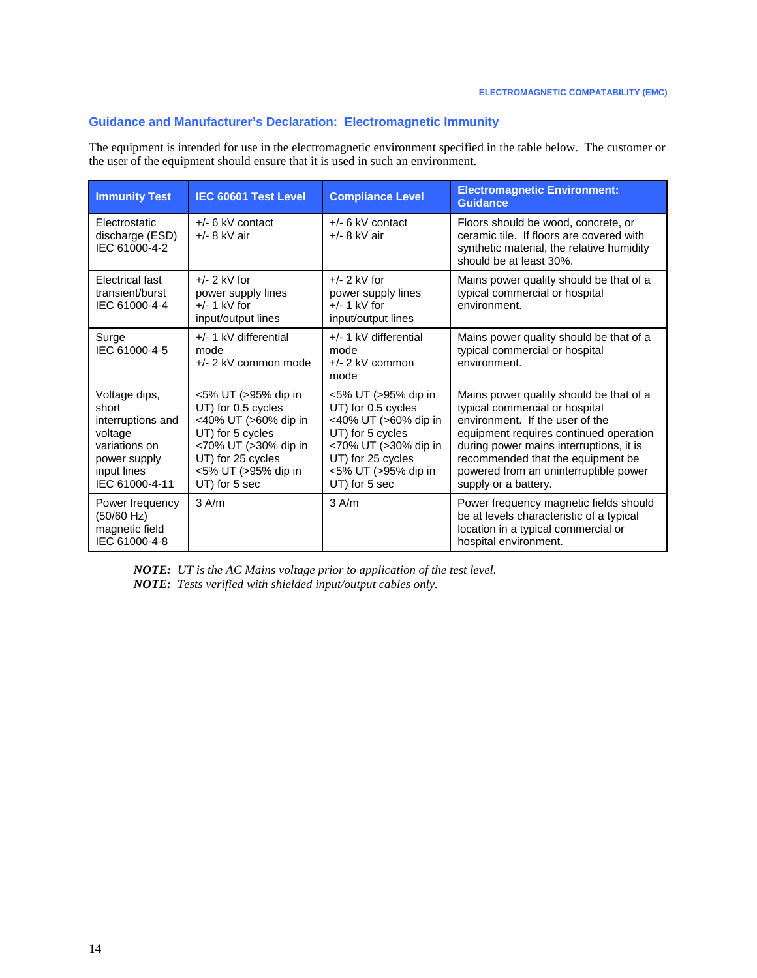#### **Guidance and Manufacturer's Declaration: Electromagnetic Immunity**

The equipment is intended for use in the electromagnetic environment specified in the table below. The customer or the user of the equipment should ensure that it is used in such an environment.

| <b>Immunity Test</b>                                                                                                     | <b>IEC 60601 Test Level</b>                                                                                                                                                | <b>Compliance Level</b>                                                                                                                                                    | <b>Electromagnetic Environment:</b><br><b>Guidance</b>                                                                                                                                                                                                                                                  |
|--------------------------------------------------------------------------------------------------------------------------|----------------------------------------------------------------------------------------------------------------------------------------------------------------------------|----------------------------------------------------------------------------------------------------------------------------------------------------------------------------|---------------------------------------------------------------------------------------------------------------------------------------------------------------------------------------------------------------------------------------------------------------------------------------------------------|
| Electrostatic<br>discharge (ESD)<br>IEC 61000-4-2                                                                        | $+/- 6$ kV contact<br>$+/-$ 8 kV air                                                                                                                                       | $+/-$ 6 kV contact<br>$+/-$ 8 kV air                                                                                                                                       | Floors should be wood, concrete, or<br>ceramic tile. If floors are covered with<br>synthetic material, the relative humidity<br>should be at least 30%.                                                                                                                                                 |
| <b>Electrical fast</b><br>transient/burst<br>IEC 61000-4-4                                                               | $+/-$ 2 kV for<br>power supply lines<br>$+/- 1$ kV for<br>input/output lines                                                                                               | $+/-$ 2 kV for<br>power supply lines<br>$+/- 1$ kV for<br>input/output lines                                                                                               | Mains power quality should be that of a<br>typical commercial or hospital<br>environment.                                                                                                                                                                                                               |
| Surge<br>IEC 61000-4-5                                                                                                   | $+/-$ 1 kV differential<br>mode<br>+/- 2 kV common mode                                                                                                                    | $+/-$ 1 kV differential<br>mode<br>$+/- 2$ kV common<br>mode                                                                                                               | Mains power quality should be that of a<br>typical commercial or hospital<br>environment.                                                                                                                                                                                                               |
| Voltage dips,<br>short<br>interruptions and<br>voltage<br>variations on<br>power supply<br>input lines<br>IEC 61000-4-11 | <5% UT (>95% dip in<br>UT) for 0.5 cycles<br><40% UT (>60% dip in<br>UT) for 5 cycles<br><70% UT (>30% dip in<br>UT) for 25 cycles<br><5% UT (>95% dip in<br>UT) for 5 sec | <5% UT (>95% dip in<br>UT) for 0.5 cycles<br><40% UT (>60% dip in<br>UT) for 5 cycles<br><70% UT (>30% dip in<br>UT) for 25 cycles<br><5% UT (>95% dip in<br>UT) for 5 sec | Mains power quality should be that of a<br>typical commercial or hospital<br>environment. If the user of the<br>equipment requires continued operation<br>during power mains interruptions, it is<br>recommended that the equipment be<br>powered from an uninterruptible power<br>supply or a battery. |
| Power frequency<br>(50/60 Hz)<br>magnetic field<br>IEC 61000-4-8                                                         | $3$ A/m                                                                                                                                                                    | $3$ A/m                                                                                                                                                                    | Power frequency magnetic fields should<br>be at levels characteristic of a typical<br>location in a typical commercial or<br>hospital environment.                                                                                                                                                      |

*NOTE: UT is the AC Mains voltage prior to application of the test level. NOTE: Tests verified with shielded input/output cables only.*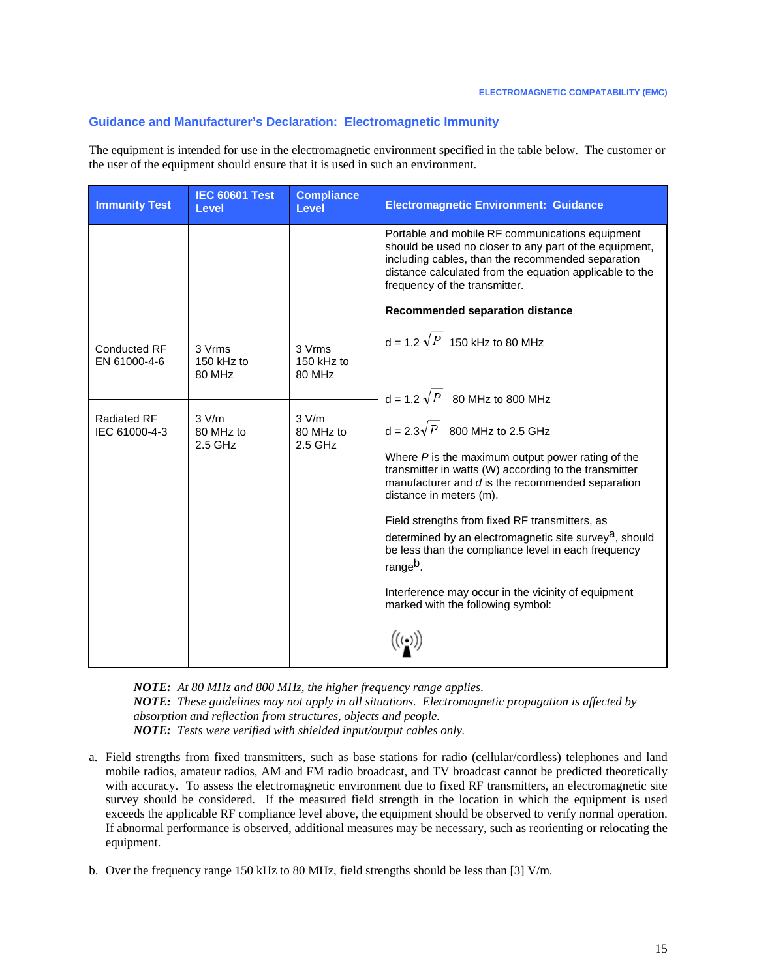#### **Guidance and Manufacturer's Declaration: Electromagnetic Immunity**

The equipment is intended for use in the electromagnetic environment specified in the table below. The customer or the user of the equipment should ensure that it is used in such an environment.

| <b>Immunity Test</b>                | <b>IEC 60601 Test</b><br><b>Level</b> | <b>Compliance</b><br><b>Level</b> | <b>Electromagnetic Environment: Guidance</b>                                                                                                                                                                                                               |
|-------------------------------------|---------------------------------------|-----------------------------------|------------------------------------------------------------------------------------------------------------------------------------------------------------------------------------------------------------------------------------------------------------|
|                                     |                                       |                                   | Portable and mobile RF communications equipment<br>should be used no closer to any part of the equipment,<br>including cables, than the recommended separation<br>distance calculated from the equation applicable to the<br>frequency of the transmitter. |
|                                     |                                       |                                   | <b>Recommended separation distance</b>                                                                                                                                                                                                                     |
| Conducted RF<br>EN 61000-4-6        | 3 Vrms<br>150 kHz to<br>80 MHz        | 3 Vrms<br>150 kHz to<br>80 MHz    | $d = 1.2 \sqrt{P}$ 150 kHz to 80 MHz                                                                                                                                                                                                                       |
|                                     |                                       |                                   | $d = 1.2 \sqrt{P}$ 80 MHz to 800 MHz                                                                                                                                                                                                                       |
| <b>Radiated RF</b><br>IEC 61000-4-3 | 3 V/m<br>80 MHz to<br>2.5 GHz         | 3 V/m<br>80 MHz to<br>2.5 GHz     | $d = 2.3\sqrt{P}$ 800 MHz to 2.5 GHz                                                                                                                                                                                                                       |
|                                     |                                       |                                   | Where $P$ is the maximum output power rating of the<br>transmitter in watts (W) according to the transmitter<br>manufacturer and d is the recommended separation<br>distance in meters (m).                                                                |
|                                     |                                       |                                   | Field strengths from fixed RF transmitters, as<br>determined by an electromagnetic site survey <sup>2</sup> , should<br>be less than the compliance level in each frequency<br>range <sup>b</sup> .                                                        |
|                                     |                                       |                                   | Interference may occur in the vicinity of equipment<br>marked with the following symbol:                                                                                                                                                                   |
|                                     |                                       |                                   |                                                                                                                                                                                                                                                            |

*NOTE: At 80 MHz and 800 MHz, the higher frequency range applies. NOTE: These guidelines may not apply in all situations. Electromagnetic propagation is affected by absorption and reflection from structures, objects and people. NOTE: Tests were verified with shielded input/output cables only.* 

- a. Field strengths from fixed transmitters, such as base stations for radio (cellular/cordless) telephones and land mobile radios, amateur radios, AM and FM radio broadcast, and TV broadcast cannot be predicted theoretically with accuracy. To assess the electromagnetic environment due to fixed RF transmitters, an electromagnetic site survey should be considered. If the measured field strength in the location in which the equipment is used exceeds the applicable RF compliance level above, the equipment should be observed to verify normal operation. If abnormal performance is observed, additional measures may be necessary, such as reorienting or relocating the equipment.
- b. Over the frequency range 150 kHz to 80 MHz, field strengths should be less than [3] V/m.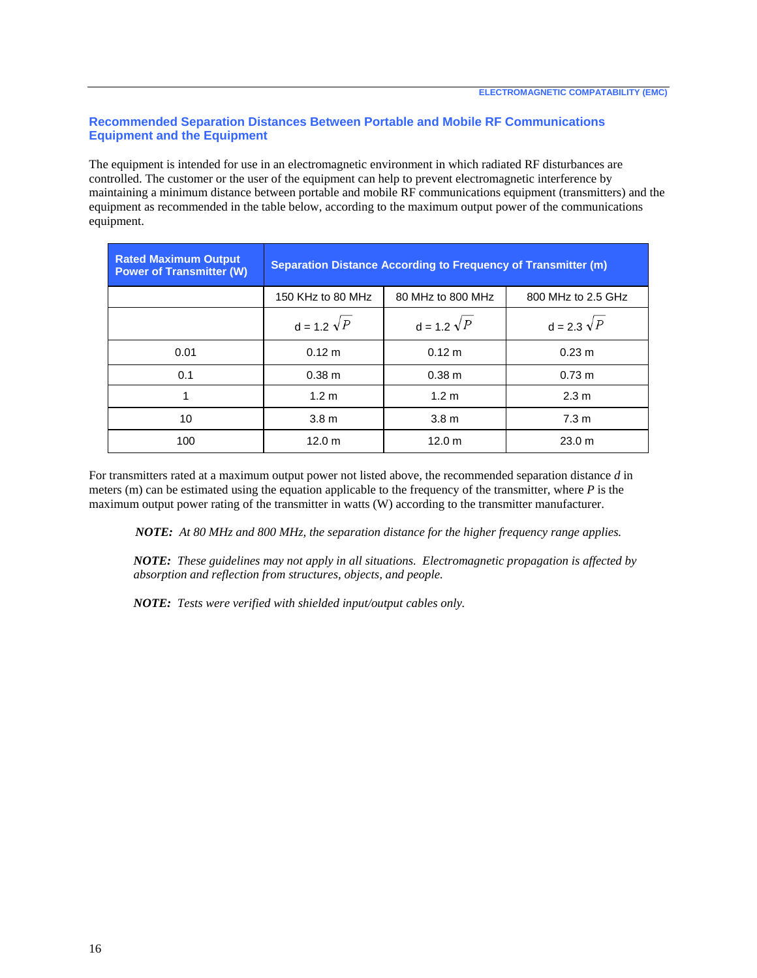#### **Recommended Separation Distances Between Portable and Mobile RF Communications Equipment and the Equipment**

The equipment is intended for use in an electromagnetic environment in which radiated RF disturbances are controlled. The customer or the user of the equipment can help to prevent electromagnetic interference by maintaining a minimum distance between portable and mobile RF communications equipment (transmitters) and the equipment as recommended in the table below, according to the maximum output power of the communications equipment.

| <b>Rated Maximum Output</b><br><b>Power of Transmitter (W)</b> | Separation Distance According to Frequency of Transmitter (m) |                    |                    |
|----------------------------------------------------------------|---------------------------------------------------------------|--------------------|--------------------|
|                                                                | 150 KHz to 80 MHz                                             | 80 MHz to 800 MHz  | 800 MHz to 2.5 GHz |
|                                                                | $d = 1.2 \sqrt{P}$                                            | $d = 1.2 \sqrt{P}$ | $d = 2.3 \sqrt{P}$ |
| 0.01                                                           | 0.12 m                                                        | 0.12 m             | $0.23 \text{ m}$   |
| 0.1                                                            | $0.38 \; \text{m}$                                            | $0.38 \; m$        | $0.73 \text{ m}$   |
| 1                                                              | 1.2 <sub>m</sub>                                              | 1.2 <sub>m</sub>   | 2.3 <sub>m</sub>   |
| 10                                                             | 3.8 <sub>m</sub>                                              | 3.8 <sub>m</sub>   | 7.3 <sub>m</sub>   |
| 100                                                            | 12.0 <sub>m</sub>                                             | 12.0 <sub>m</sub>  | 23.0 m             |

For transmitters rated at a maximum output power not listed above, the recommended separation distance *d* in meters (m) can be estimated using the equation applicable to the frequency of the transmitter, where *P* is the maximum output power rating of the transmitter in watts (W) according to the transmitter manufacturer.

*NOTE: At 80 MHz and 800 MHz, the separation distance for the higher frequency range applies.* 

*NOTE: These guidelines may not apply in all situations. Electromagnetic propagation is affected by absorption and reflection from structures, objects, and people.* 

*NOTE: Tests were verified with shielded input/output cables only.*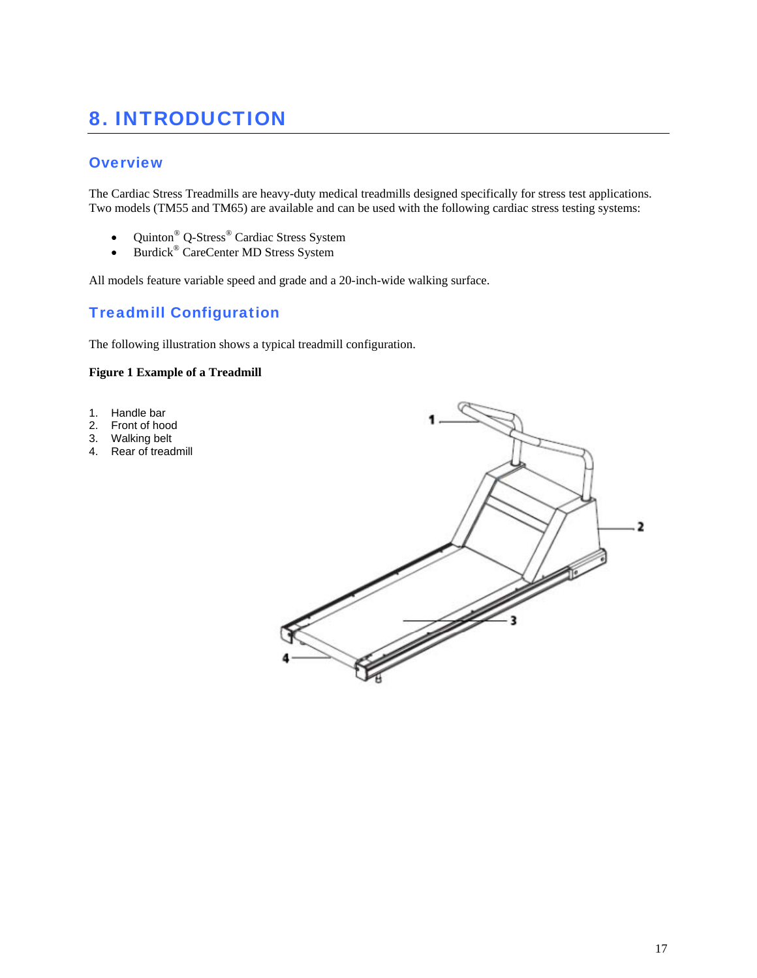## 8. INTRODUCTION

### **Overview**

The Cardiac Stress Treadmills are heavy-duty medical treadmills designed specifically for stress test applications. Two models (TM55 and TM65) are available and can be used with the following cardiac stress testing systems:

- Quinton<sup>®</sup> Q-Stress<sup>®</sup> Cardiac Stress System
- Burdick<sup>®</sup> CareCenter MD Stress System

All models feature variable speed and grade and a 20-inch-wide walking surface.

## Treadmill Configuration

The following illustration shows a typical treadmill configuration.

#### **Figure 1 Example of a Treadmill**

- 1. Handle bar
- 2. Front of hood
- 3. Walking belt
- 4. Rear of treadmill

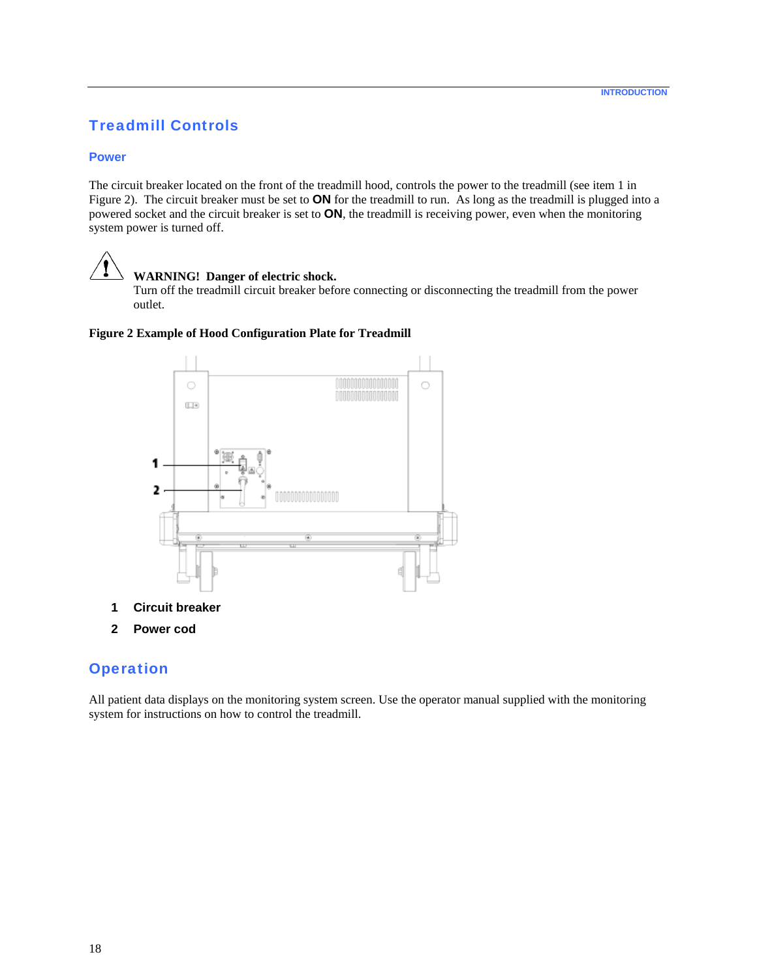## Treadmill Controls

#### **Power**

The circuit breaker located on the front of the treadmill hood, controls the power to the treadmill (see item 1 in Figure 2). The circuit breaker must be set to **ON** for the treadmill to run. As long as the treadmill is plugged into a powered socket and the circuit breaker is set to **ON**, the treadmill is receiving power, even when the monitoring system power is turned off.

**INTRODUCTION**



#### **WARNING! Danger of electric shock.**

Turn off the treadmill circuit breaker before connecting or disconnecting the treadmill from the power outlet.

#### **Figure 2 Example of Hood Configuration Plate for Treadmill**



- **1 Circuit breaker**
- **2 Power cod**

## **Operation**

All patient data displays on the monitoring system screen. Use the operator manual supplied with the monitoring system for instructions on how to control the treadmill.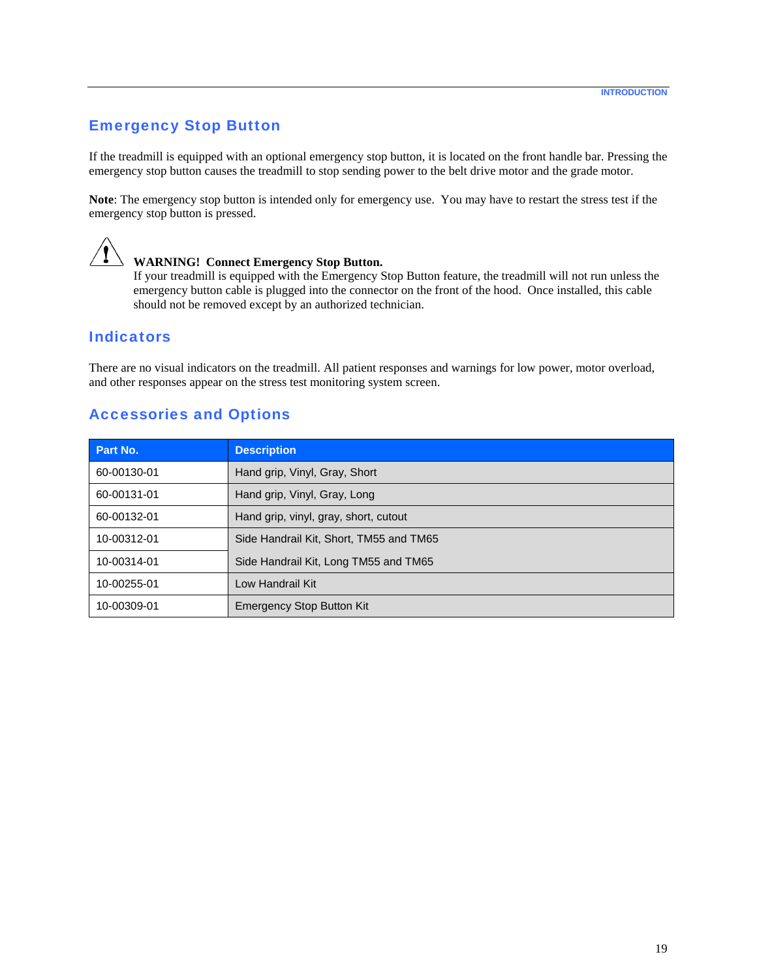## Emergency Stop Button

If the treadmill is equipped with an optional emergency stop button, it is located on the front handle bar. Pressing the emergency stop button causes the treadmill to stop sending power to the belt drive motor and the grade motor.

**Note**: The emergency stop button is intended only for emergency use. You may have to restart the stress test if the emergency stop button is pressed.



#### **WARNING! Connect Emergency Stop Button.**

If your treadmill is equipped with the Emergency Stop Button feature, the treadmill will not run unless the emergency button cable is plugged into the connector on the front of the hood. Once installed, this cable should not be removed except by an authorized technician.

#### **Indicators**

There are no visual indicators on the treadmill. All patient responses and warnings for low power, motor overload, and other responses appear on the stress test monitoring system screen.

## Accessories and Options

| Part No.    | <b>Description</b>                      |
|-------------|-----------------------------------------|
| 60-00130-01 | Hand grip, Vinyl, Gray, Short           |
| 60-00131-01 | Hand grip, Vinyl, Gray, Long            |
| 60-00132-01 | Hand grip, vinyl, gray, short, cutout   |
| 10-00312-01 | Side Handrail Kit, Short, TM55 and TM65 |
| 10-00314-01 | Side Handrail Kit, Long TM55 and TM65   |
| 10-00255-01 | Low Handrail Kit                        |
| 10-00309-01 | <b>Emergency Stop Button Kit</b>        |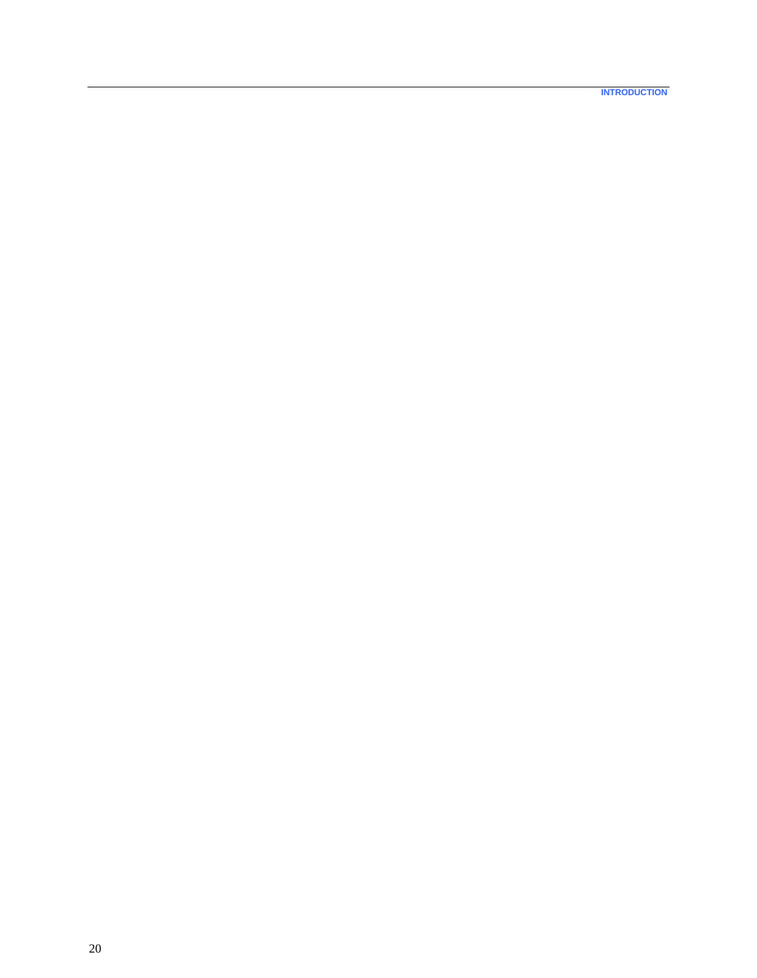**INTRODUCTION**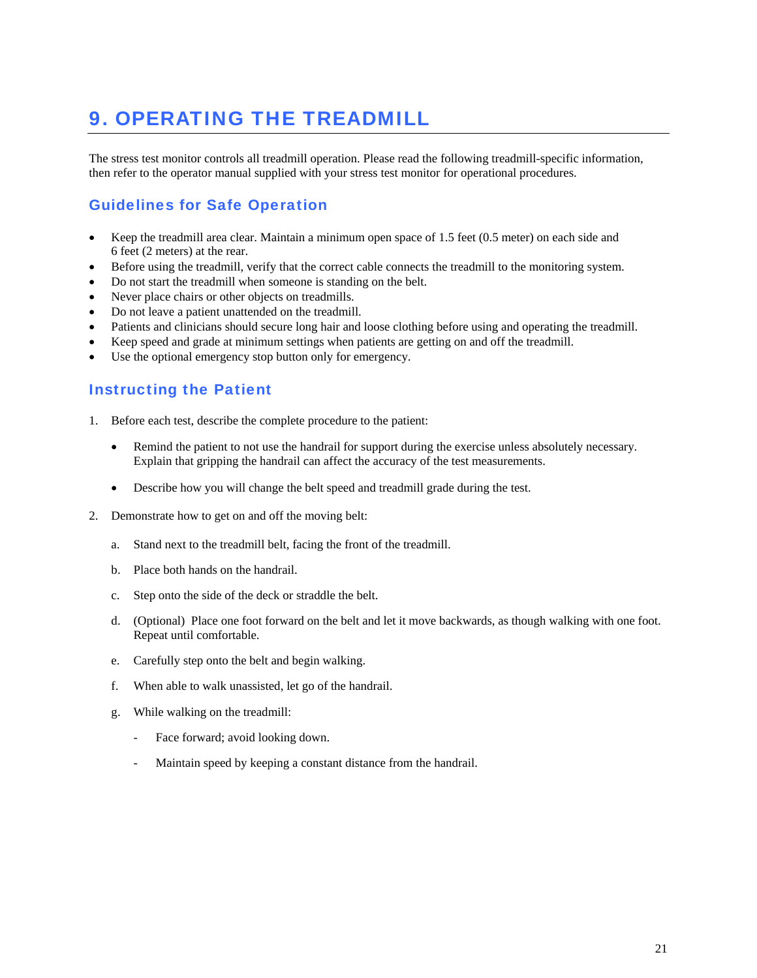## 9. OPERATING THE TREADMILL

The stress test monitor controls all treadmill operation. Please read the following treadmill-specific information, then refer to the operator manual supplied with your stress test monitor for operational procedures.

## Guidelines for Safe Operation

- Keep the treadmill area clear. Maintain a minimum open space of 1.5 feet (0.5 meter) on each side and 6 feet (2 meters) at the rear.
- Before using the treadmill, verify that the correct cable connects the treadmill to the monitoring system.
- Do not start the treadmill when someone is standing on the belt.
- Never place chairs or other objects on treadmills.
- Do not leave a patient unattended on the treadmill.
- Patients and clinicians should secure long hair and loose clothing before using and operating the treadmill.
- Keep speed and grade at minimum settings when patients are getting on and off the treadmill.
- Use the optional emergency stop button only for emergency.

## Instructing the Patient

- 1. Before each test, describe the complete procedure to the patient:
	- Remind the patient to not use the handrail for support during the exercise unless absolutely necessary. Explain that gripping the handrail can affect the accuracy of the test measurements.
	- Describe how you will change the belt speed and treadmill grade during the test.
- 2. Demonstrate how to get on and off the moving belt:
	- a. Stand next to the treadmill belt, facing the front of the treadmill.
	- b. Place both hands on the handrail.
	- c. Step onto the side of the deck or straddle the belt.
	- d. (Optional) Place one foot forward on the belt and let it move backwards, as though walking with one foot. Repeat until comfortable.
	- e. Carefully step onto the belt and begin walking.
	- f. When able to walk unassisted, let go of the handrail.
	- g. While walking on the treadmill:
		- Face forward; avoid looking down.
		- Maintain speed by keeping a constant distance from the handrail.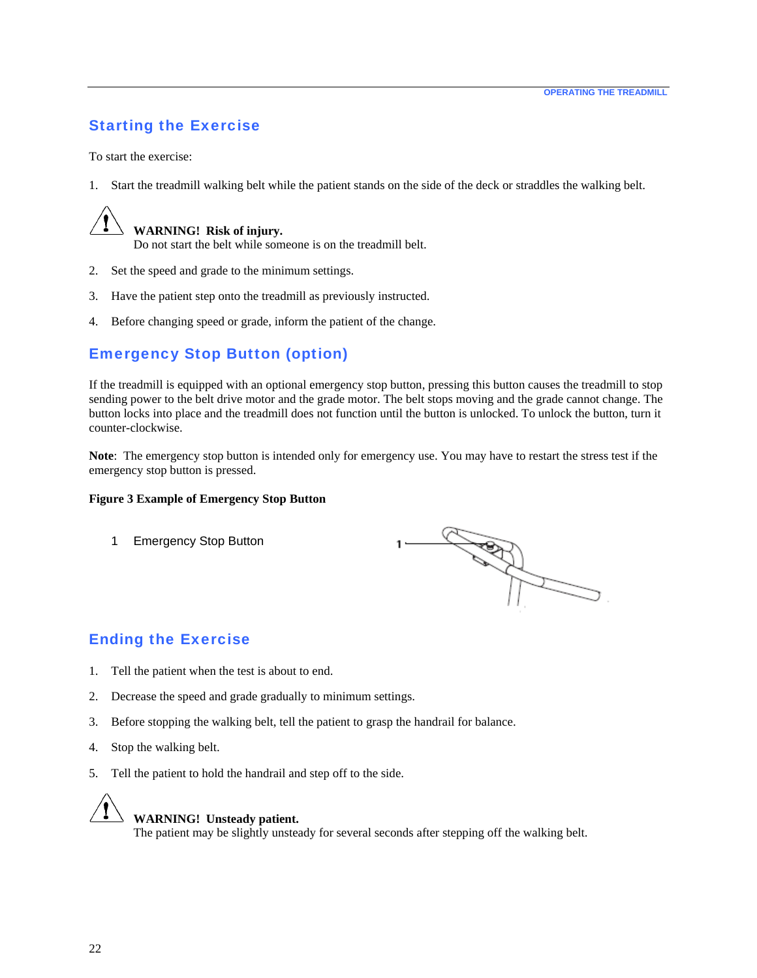## Starting the Exercise

To start the exercise:

1. Start the treadmill walking belt while the patient stands on the side of the deck or straddles the walking belt.



- 2. Set the speed and grade to the minimum settings.
- 3. Have the patient step onto the treadmill as previously instructed.
- 4. Before changing speed or grade, inform the patient of the change.

## Emergency Stop Button (option)

If the treadmill is equipped with an optional emergency stop button, pressing this button causes the treadmill to stop sending power to the belt drive motor and the grade motor. The belt stops moving and the grade cannot change. The button locks into place and the treadmill does not function until the button is unlocked. To unlock the button, turn it counter-clockwise.

**Note**: The emergency stop button is intended only for emergency use. You may have to restart the stress test if the emergency stop button is pressed.

#### **Figure 3 Example of Emergency Stop Button**

1 Emergency Stop Button



## Ending the Exercise

- 1. Tell the patient when the test is about to end.
- 2. Decrease the speed and grade gradually to minimum settings.
- 3. Before stopping the walking belt, tell the patient to grasp the handrail for balance.
- 4. Stop the walking belt.
- 5. Tell the patient to hold the handrail and step off to the side.

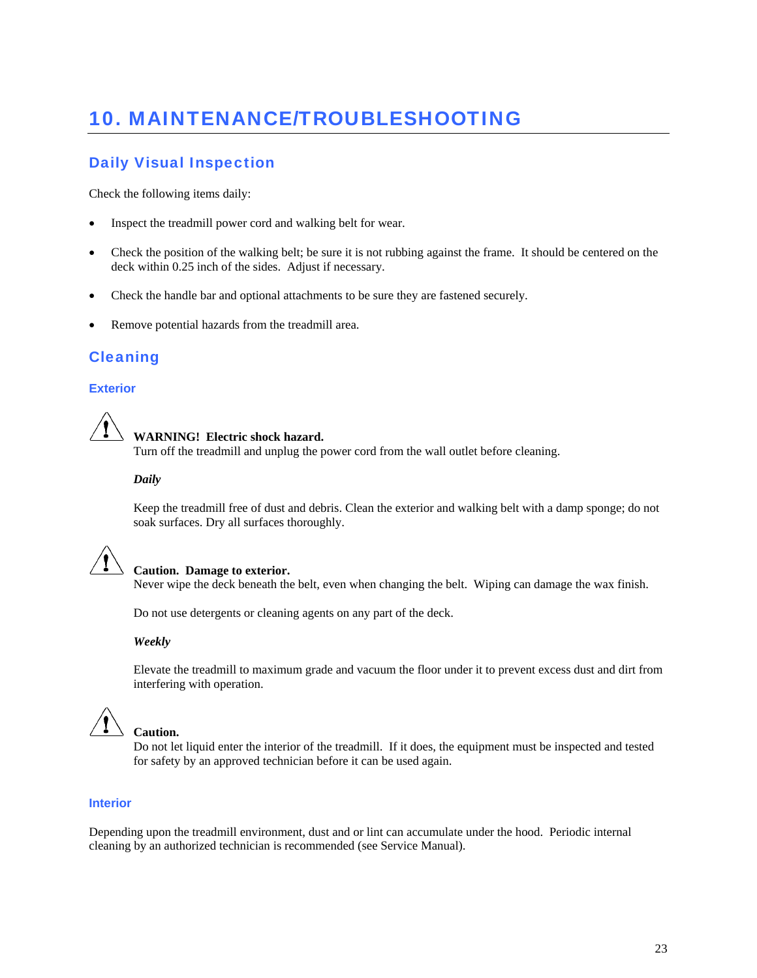## 10. MAINTENANCE/TROUBLESHOOTING

## Daily Visual Inspection

Check the following items daily:

- Inspect the treadmill power cord and walking belt for wear.
- Check the position of the walking belt; be sure it is not rubbing against the frame. It should be centered on the deck within 0.25 inch of the sides. Adjust if necessary.
- Check the handle bar and optional attachments to be sure they are fastened securely.
- Remove potential hazards from the treadmill area.

## Cleaning

#### **Exterior**



#### **WARNING! Electric shock hazard.**

Turn off the treadmill and unplug the power cord from the wall outlet before cleaning.

#### *Daily*

Keep the treadmill free of dust and debris. Clean the exterior and walking belt with a damp sponge; do not soak surfaces. Dry all surfaces thoroughly.



#### **Caution. Damage to exterior.**

Never wipe the deck beneath the belt, even when changing the belt. Wiping can damage the wax finish.

Do not use detergents or cleaning agents on any part of the deck.

#### *Weekly*

Elevate the treadmill to maximum grade and vacuum the floor under it to prevent excess dust and dirt from interfering with operation.



#### **Caution.**

Do not let liquid enter the interior of the treadmill. If it does, the equipment must be inspected and tested for safety by an approved technician before it can be used again.

#### **Interior**

Depending upon the treadmill environment, dust and or lint can accumulate under the hood. Periodic internal cleaning by an authorized technician is recommended (see Service Manual).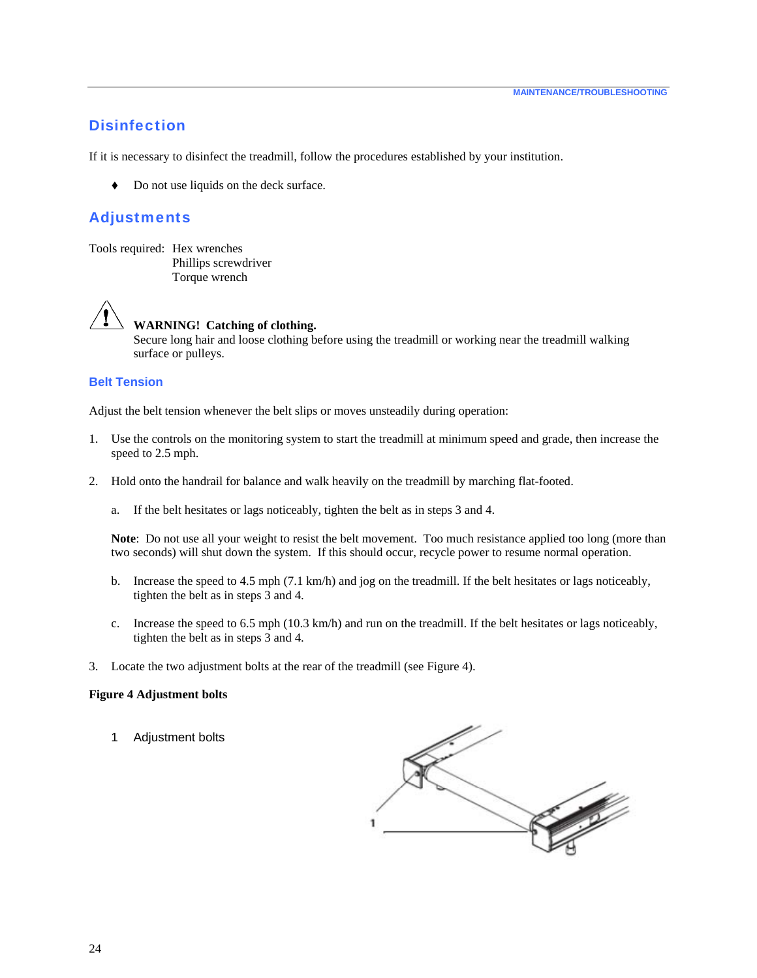## **Disinfection**

If it is necessary to disinfect the treadmill, follow the procedures established by your institution.

• Do not use liquids on the deck surface.

## Adjustments

Tools required: Hex wrenches Phillips screwdriver Torque wrench

#### **WARNING! Catching of clothing.**

Secure long hair and loose clothing before using the treadmill or working near the treadmill walking surface or pulleys.

#### **Belt Tension**

Adjust the belt tension whenever the belt slips or moves unsteadily during operation:

- 1. Use the controls on the monitoring system to start the treadmill at minimum speed and grade, then increase the speed to 2.5 mph.
- 2. Hold onto the handrail for balance and walk heavily on the treadmill by marching flat-footed.
	- a. If the belt hesitates or lags noticeably, tighten the belt as in steps 3 and 4.

**Note**: Do not use all your weight to resist the belt movement. Too much resistance applied too long (more than two seconds) will shut down the system. If this should occur, recycle power to resume normal operation.

- b. Increase the speed to 4.5 mph (7.1 km/h) and jog on the treadmill. If the belt hesitates or lags noticeably, tighten the belt as in steps 3 and 4.
- c. Increase the speed to 6.5 mph (10.3 km/h) and run on the treadmill. If the belt hesitates or lags noticeably, tighten the belt as in steps 3 and 4.
- 3. Locate the two adjustment bolts at the rear of the treadmill (see Figure 4).

#### **Figure 4 Adjustment bolts**

1 Adjustment bolts

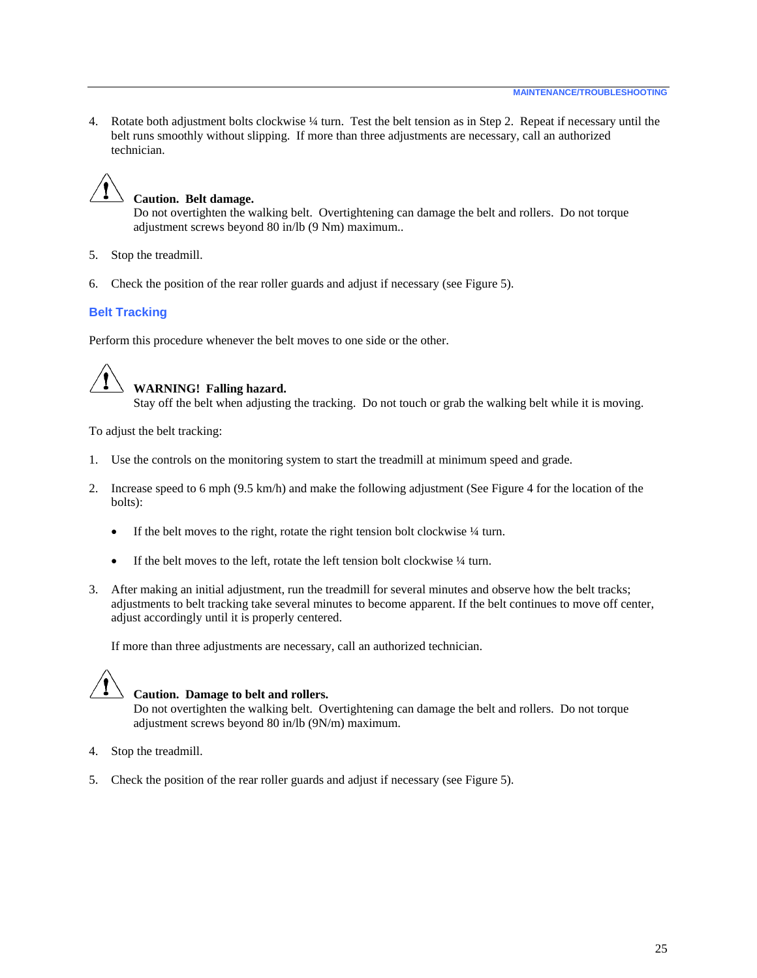4. Rotate both adjustment bolts clockwise ¼ turn. Test the belt tension as in Step 2. Repeat if necessary until the belt runs smoothly without slipping. If more than three adjustments are necessary, call an authorized technician.



#### **Caution. Belt damage.**

Do not overtighten the walking belt. Overtightening can damage the belt and rollers. Do not torque adjustment screws beyond 80 in/lb (9 Nm) maximum..

- 5. Stop the treadmill.
- 6. Check the position of the rear roller guards and adjust if necessary (see Figure 5).

#### **Belt Tracking**

Perform this procedure whenever the belt moves to one side or the other.



#### **WARNING! Falling hazard.**

Stay off the belt when adjusting the tracking. Do not touch or grab the walking belt while it is moving.

To adjust the belt tracking:

- 1. Use the controls on the monitoring system to start the treadmill at minimum speed and grade.
- 2. Increase speed to 6 mph (9.5 km/h) and make the following adjustment (See Figure 4 for the location of the bolts):
	- If the belt moves to the right, rotate the right tension bolt clockwise  $\frac{1}{4}$  turn.
	- If the belt moves to the left, rotate the left tension bolt clockwise 1/4 turn.
- 3. After making an initial adjustment, run the treadmill for several minutes and observe how the belt tracks; adjustments to belt tracking take several minutes to become apparent. If the belt continues to move off center, adjust accordingly until it is properly centered.

If more than three adjustments are necessary, call an authorized technician.



#### **Caution. Damage to belt and rollers.**

Do not overtighten the walking belt. Overtightening can damage the belt and rollers. Do not torque adjustment screws beyond 80 in/lb (9N/m) maximum.

- 4. Stop the treadmill.
- 5. Check the position of the rear roller guards and adjust if necessary (see Figure 5).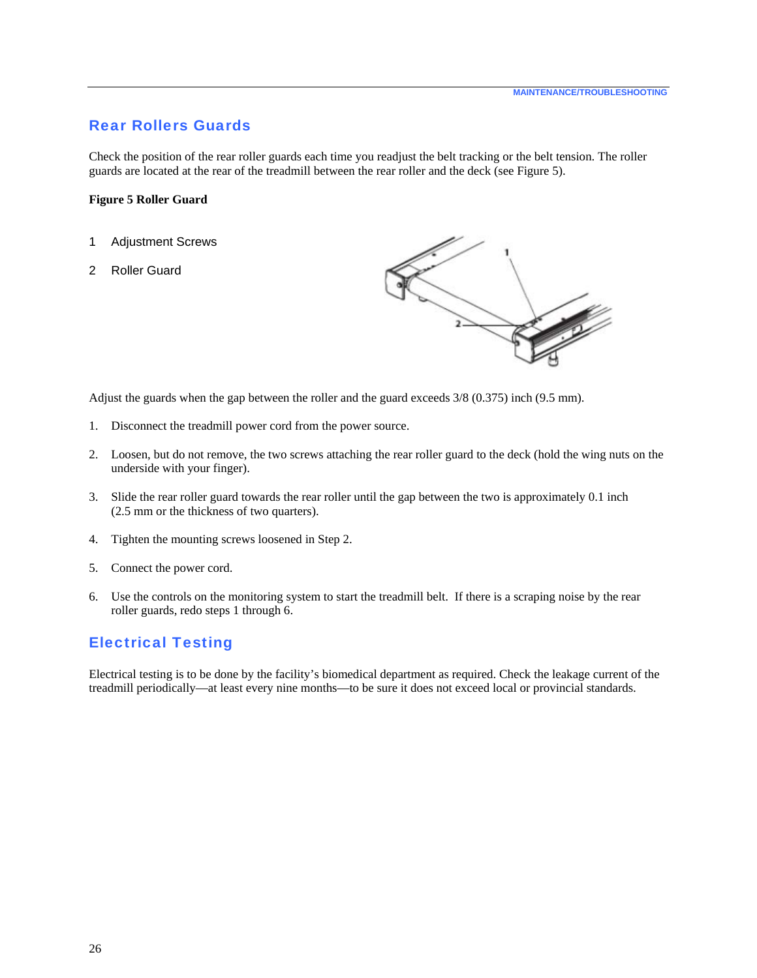## Rear Rollers Guards

Check the position of the rear roller guards each time you readjust the belt tracking or the belt tension. The roller guards are located at the rear of the treadmill between the rear roller and the deck (see Figure 5).

#### **Figure 5 Roller Guard**

- 1 Adjustment Screws
- 2 Roller Guard



Adjust the guards when the gap between the roller and the guard exceeds 3/8 (0.375) inch (9.5 mm).

- 1. Disconnect the treadmill power cord from the power source.
- 2. Loosen, but do not remove, the two screws attaching the rear roller guard to the deck (hold the wing nuts on the underside with your finger).
- 3. Slide the rear roller guard towards the rear roller until the gap between the two is approximately 0.1 inch (2.5 mm or the thickness of two quarters).
- 4. Tighten the mounting screws loosened in Step 2.
- 5. Connect the power cord.
- 6. Use the controls on the monitoring system to start the treadmill belt. If there is a scraping noise by the rear roller guards, redo steps 1 through 6.

## Electrical Testing

Electrical testing is to be done by the facility's biomedical department as required. Check the leakage current of the treadmill periodically—at least every nine months—to be sure it does not exceed local or provincial standards.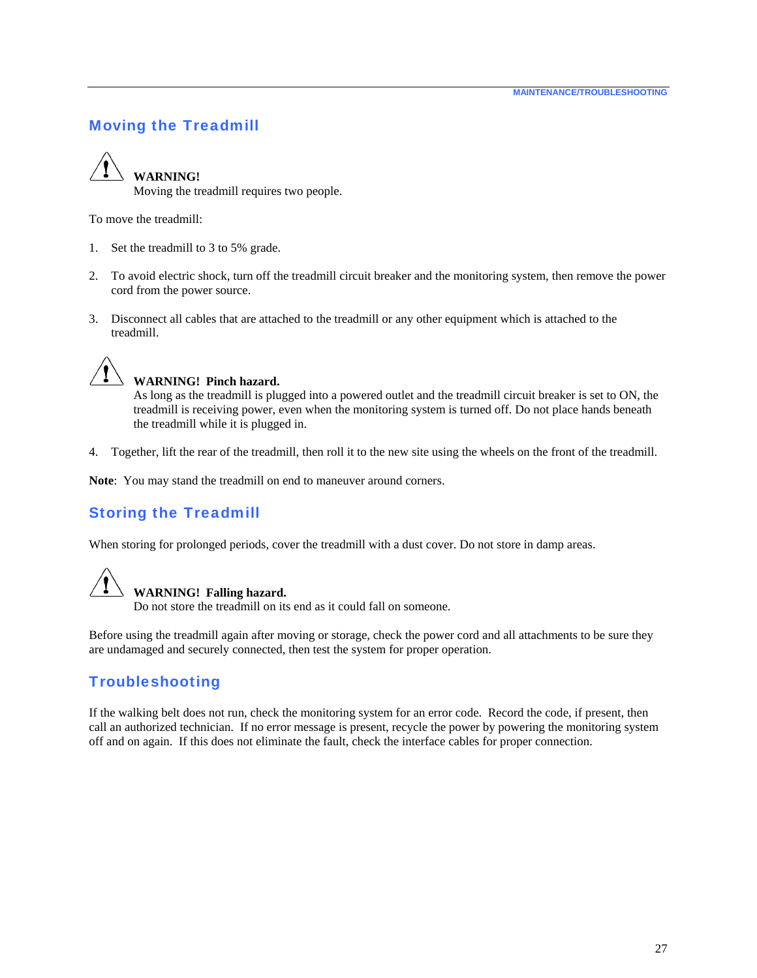## Moving the Treadmill



Moving the treadmill requires two people.

To move the treadmill:

- 1. Set the treadmill to 3 to 5% grade.
- 2. To avoid electric shock, turn off the treadmill circuit breaker and the monitoring system, then remove the power cord from the power source.
- 3. Disconnect all cables that are attached to the treadmill or any other equipment which is attached to the treadmill.



#### **WARNING! Pinch hazard.**

As long as the treadmill is plugged into a powered outlet and the treadmill circuit breaker is set to ON, the treadmill is receiving power, even when the monitoring system is turned off. Do not place hands beneath the treadmill while it is plugged in.

4. Together, lift the rear of the treadmill, then roll it to the new site using the wheels on the front of the treadmill.

**Note**: You may stand the treadmill on end to maneuver around corners.

## Storing the Treadmill

When storing for prolonged periods, cover the treadmill with a dust cover. Do not store in damp areas.



#### **WARNING! Falling hazard.**

Do not store the treadmill on its end as it could fall on someone.

Before using the treadmill again after moving or storage, check the power cord and all attachments to be sure they are undamaged and securely connected, then test the system for proper operation.

## Troubleshooting

If the walking belt does not run, check the monitoring system for an error code. Record the code, if present, then call an authorized technician. If no error message is present, recycle the power by powering the monitoring system off and on again. If this does not eliminate the fault, check the interface cables for proper connection.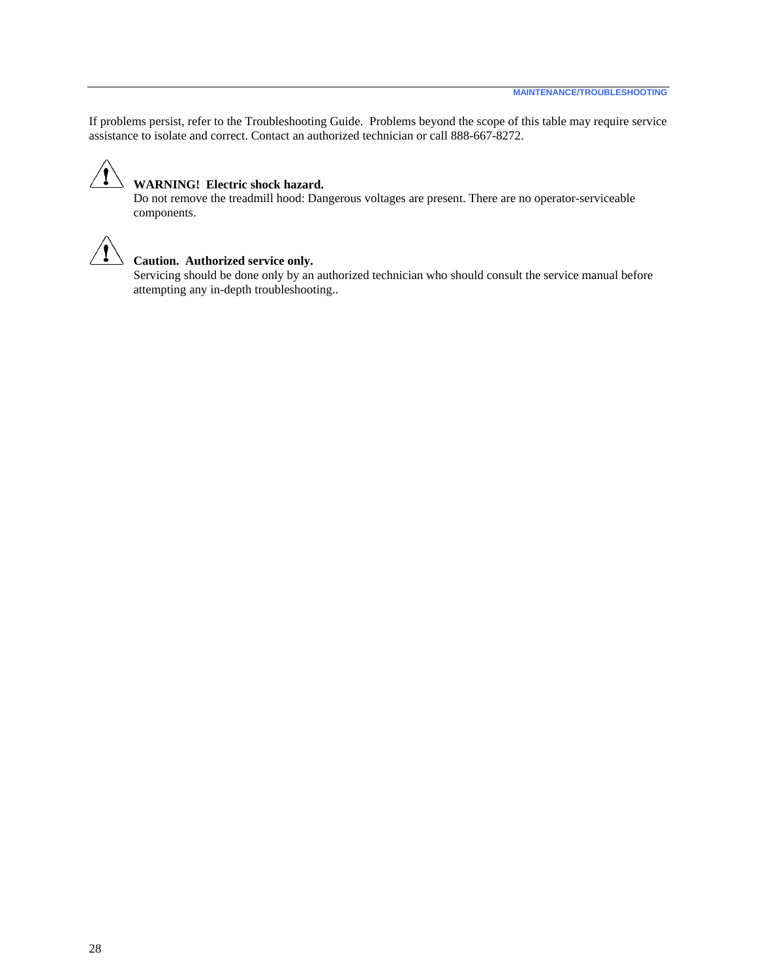If problems persist, refer to the Troubleshooting Guide. Problems beyond the scope of this table may require service assistance to isolate and correct. Contact an authorized technician or call 888-667-8272.



#### **WARNING! Electric shock hazard.**

Do not remove the treadmill hood: Dangerous voltages are present. There are no operator-serviceable components.



### **Caution. Authorized service only.**

Servicing should be done only by an authorized technician who should consult the service manual before attempting any in-depth troubleshooting..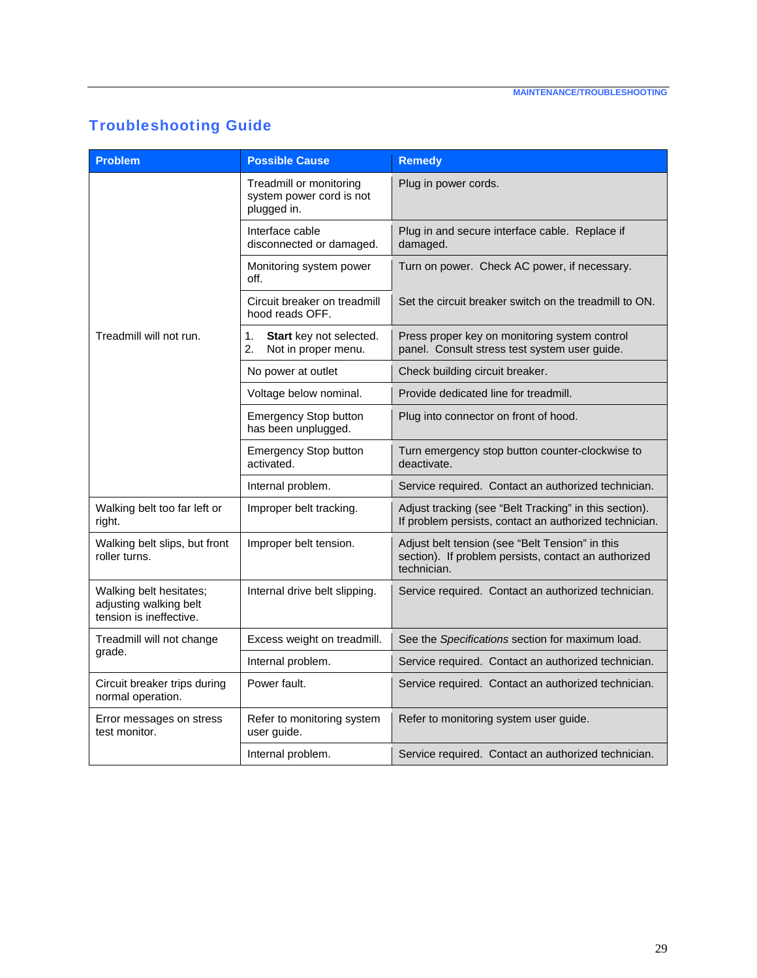## Troubleshooting Guide

| <b>Problem</b>                                                               | <b>Possible Cause</b>                                              | <b>Remedy</b>                                                                                                          |  |
|------------------------------------------------------------------------------|--------------------------------------------------------------------|------------------------------------------------------------------------------------------------------------------------|--|
|                                                                              | Treadmill or monitoring<br>system power cord is not<br>plugged in. | Plug in power cords.                                                                                                   |  |
|                                                                              | Interface cable<br>disconnected or damaged.                        | Plug in and secure interface cable. Replace if<br>damaged.                                                             |  |
|                                                                              | Monitoring system power<br>off.                                    | Turn on power. Check AC power, if necessary.                                                                           |  |
|                                                                              | Circuit breaker on treadmill<br>hood reads OFF.                    | Set the circuit breaker switch on the treadmill to ON.                                                                 |  |
| Treadmill will not run.                                                      | Start key not selected.<br>1.<br>2.<br>Not in proper menu.         | Press proper key on monitoring system control<br>panel. Consult stress test system user guide.                         |  |
|                                                                              | No power at outlet                                                 | Check building circuit breaker.                                                                                        |  |
|                                                                              | Voltage below nominal.                                             | Provide dedicated line for treadmill.                                                                                  |  |
|                                                                              | Emergency Stop button<br>has been unplugged.                       | Plug into connector on front of hood.                                                                                  |  |
|                                                                              | <b>Emergency Stop button</b><br>activated.                         | Turn emergency stop button counter-clockwise to<br>deactivate.                                                         |  |
|                                                                              | Internal problem.                                                  | Service required. Contact an authorized technician.                                                                    |  |
| Walking belt too far left or<br>right.                                       | Improper belt tracking.                                            | Adjust tracking (see "Belt Tracking" in this section).<br>If problem persists, contact an authorized technician.       |  |
| Walking belt slips, but front<br>roller turns.                               | Improper belt tension.                                             | Adjust belt tension (see "Belt Tension" in this<br>section). If problem persists, contact an authorized<br>technician. |  |
| Walking belt hesitates;<br>adjusting walking belt<br>tension is ineffective. | Internal drive belt slipping.                                      | Service required. Contact an authorized technician.                                                                    |  |
| Treadmill will not change                                                    | Excess weight on treadmill.                                        | See the Specifications section for maximum load.                                                                       |  |
| grade.                                                                       | Internal problem.                                                  | Service required. Contact an authorized technician.                                                                    |  |
| Circuit breaker trips during<br>normal operation.                            | Power fault.                                                       | Service required. Contact an authorized technician.                                                                    |  |
| Error messages on stress<br>test monitor.                                    | Refer to monitoring system<br>user guide.                          | Refer to monitoring system user guide.                                                                                 |  |
|                                                                              | Internal problem.                                                  | Service required. Contact an authorized technician.                                                                    |  |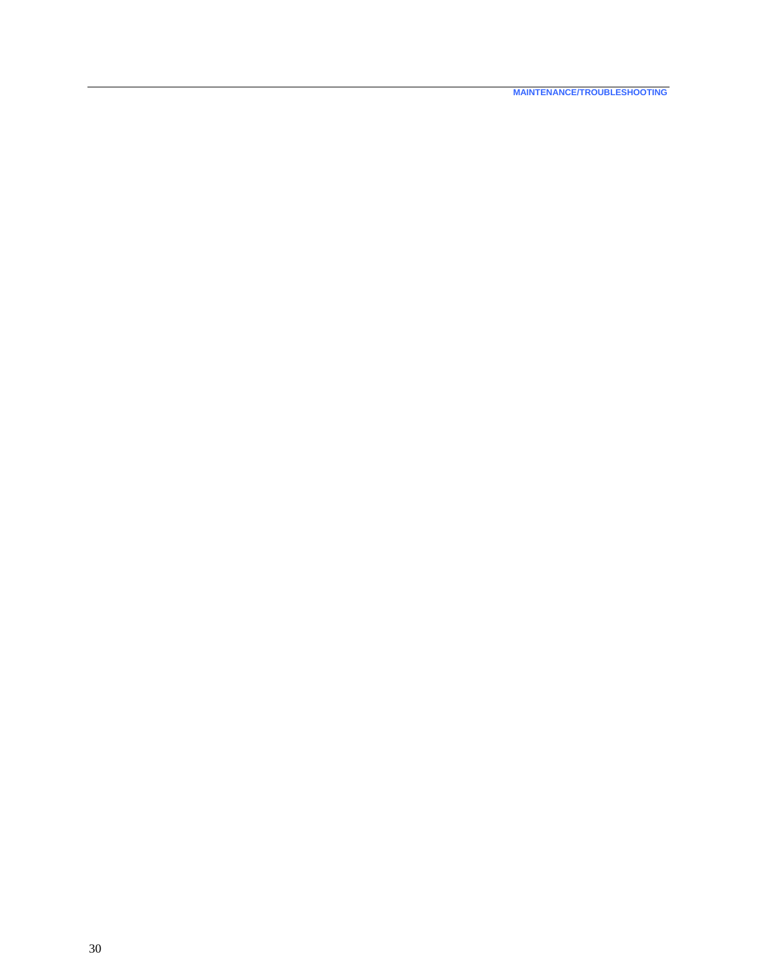**MAINTENANCE/TROUBLESHOOTING**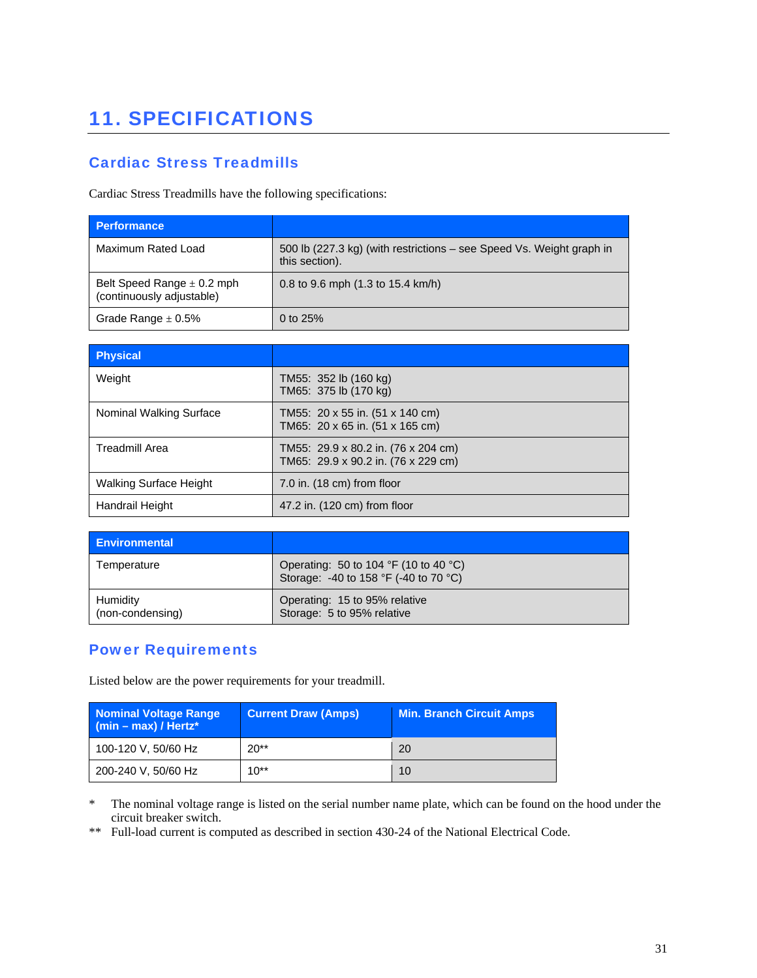## 11. SPECIFICATIONS

## Cardiac Stress Treadmills

Cardiac Stress Treadmills have the following specifications:

| <b>Performance</b>                                          |                                                                                        |
|-------------------------------------------------------------|----------------------------------------------------------------------------------------|
| Maximum Rated Load                                          | 500 lb (227.3 kg) (with restrictions – see Speed Vs. Weight graph in<br>this section). |
| Belt Speed Range $\pm$ 0.2 mph<br>(continuously adjustable) | 0.8 to 9.6 mph $(1.3$ to 15.4 km/h)                                                    |
| Grade Range $\pm$ 0.5%                                      | 0 to $25%$                                                                             |

| <b>Physical</b>         |                                                                            |
|-------------------------|----------------------------------------------------------------------------|
| Weight                  | TM55: 352 lb (160 kg)<br>TM65: 375 lb (170 kg)                             |
| Nominal Walking Surface | TM55: 20 x 55 in. (51 x 140 cm)<br>TM65: 20 x 65 in. (51 x 165 cm)         |
| <b>Treadmill Area</b>   | TM55: 29.9 x 80.2 in. (76 x 204 cm)<br>TM65: 29.9 x 90.2 in. (76 x 229 cm) |
| Walking Surface Height  | 7.0 in. (18 cm) from floor                                                 |
| Handrail Height         | 47.2 in. (120 cm) from floor                                               |

| <b>Environmental</b>         |                                                                                                  |
|------------------------------|--------------------------------------------------------------------------------------------------|
| Temperature                  | Operating: 50 to 104 $\degree$ F (10 to 40 $\degree$ C)<br>Storage: -40 to 158 °F (-40 to 70 °C) |
| Humidity<br>(non-condensing) | Operating: 15 to 95% relative<br>Storage: 5 to 95% relative                                      |

## Power Requirements

Listed below are the power requirements for your treadmill.

| Nominal Voltage Range<br>$\frac{1}{2}$ (min – max) / Hertz* | <b>Current Draw (Amps)</b> | <b>Min. Branch Circuit Amps</b> |  |  |
|-------------------------------------------------------------|----------------------------|---------------------------------|--|--|
| 100-120 V, 50/60 Hz                                         | $20**$                     | 20                              |  |  |
| 200-240 V, 50/60 Hz                                         | $10^{**}$                  | 10                              |  |  |

\* The nominal voltage range is listed on the serial number name plate, which can be found on the hood under the circuit breaker switch.

\*\* Full-load current is computed as described in section 430-24 of the National Electrical Code.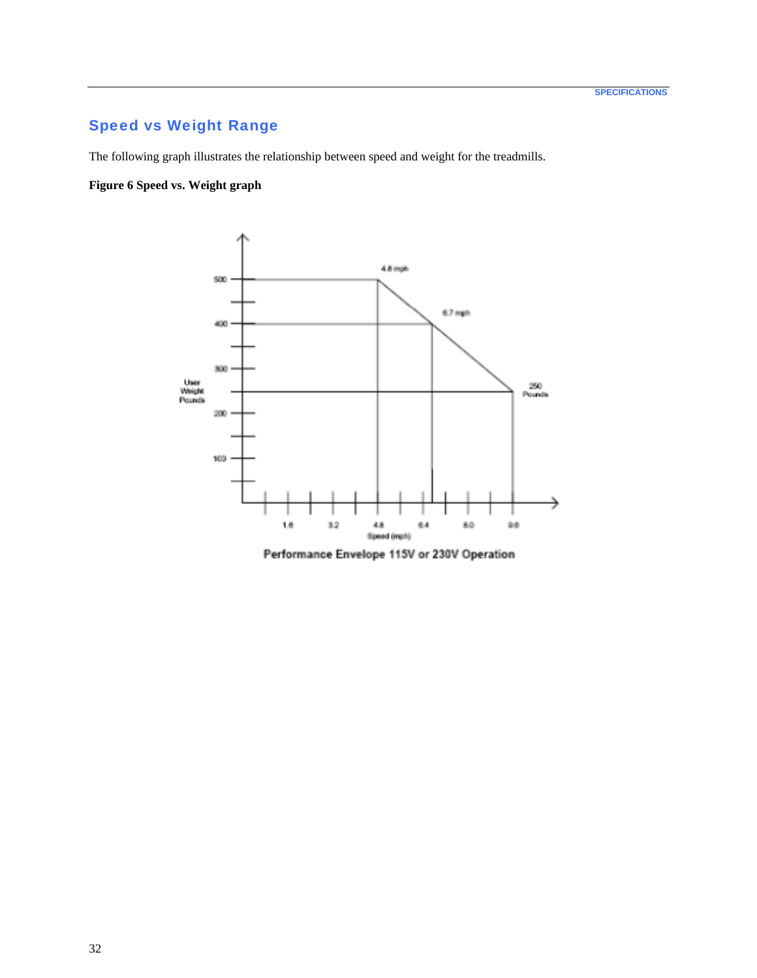## Speed vs Weight Range

The following graph illustrates the relationship between speed and weight for the treadmills.

### **Figure 6 Speed vs. Weight graph**



Performance Envelope 115V or 230V Operation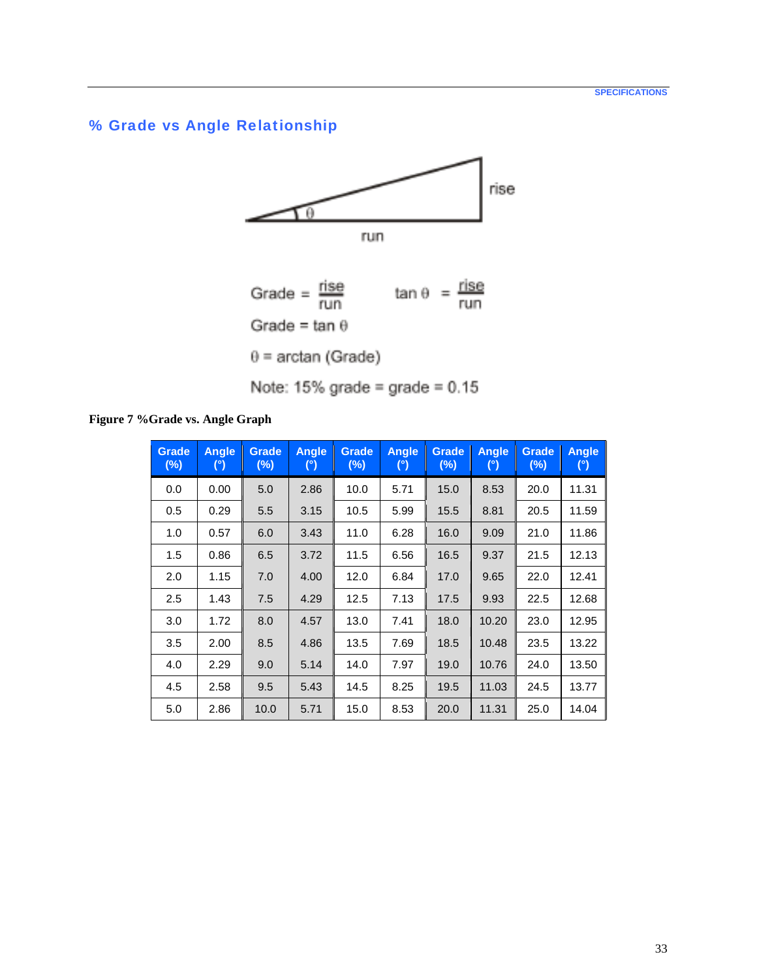## % Grade vs Angle Relationship



 $\tan \theta = \frac{\text{rise}}{\text{run}}$ Grade =  $\frac{rise}{run}$ Grade =  $\tan \theta$ 

 $\theta$  = arctan (Grade)

Note:  $15\%$  grade = grade = 0.15

**Figure 7 %Grade vs. Angle Graph** 

| <b>Grade</b><br>$(\%)$ | Angle<br>(°) | <b>Grade</b><br>$(\%)$ | <b>Angle</b><br>(°) | <b>Grade</b><br>$(\%)$ | <b>Angle</b><br>$(^\circ)$ | <b>Grade</b><br>$(\%)$ | <b>Angle</b><br>(°) | <b>Grade</b><br>$(\%)$ | <b>Angle</b><br>(°) |
|------------------------|--------------|------------------------|---------------------|------------------------|----------------------------|------------------------|---------------------|------------------------|---------------------|
| 0.0                    | 0.00         | 5.0                    | 2.86                | 10.0                   | 5.71                       | 15.0                   | 8.53                | 20.0                   | 11.31               |
| 0.5                    | 0.29         | 5.5                    | 3.15                | 10.5                   | 5.99                       | 15.5                   | 8.81                | 20.5                   | 11.59               |
| 1.0                    | 0.57         | 6.0                    | 3.43                | 11.0                   | 6.28                       | 16.0                   | 9.09                | 21.0                   | 11.86               |
| 1.5                    | 0.86         | 6.5                    | 3.72                | 11.5                   | 6.56                       | 16.5                   | 9.37                | 21.5                   | 12.13               |
| 2.0                    | 1.15         | 7.0                    | 4.00                | 12.0                   | 6.84                       | 17.0                   | 9.65                | 22.0                   | 12.41               |
| 2.5                    | 1.43         | 7.5                    | 4.29                | 12.5                   | 7.13                       | 17.5                   | 9.93                | 22.5                   | 12.68               |
| 3.0                    | 1.72         | 8.0                    | 4.57                | 13.0                   | 7.41                       | 18.0                   | 10.20               | 23.0                   | 12.95               |
| 3.5                    | 2.00         | 8.5                    | 4.86                | 13.5                   | 7.69                       | 18.5                   | 10.48               | 23.5                   | 13.22               |
| 4.0                    | 2.29         | 9.0                    | 5.14                | 14.0                   | 7.97                       | 19.0                   | 10.76               | 24.0                   | 13.50               |
| 4.5                    | 2.58         | 9.5                    | 5.43                | 14.5                   | 8.25                       | 19.5                   | 11.03               | 24.5                   | 13.77               |
| 5.0                    | 2.86         | 10.0                   | 5.71                | 15.0                   | 8.53                       | 20.0                   | 11.31               | 25.0                   | 14.04               |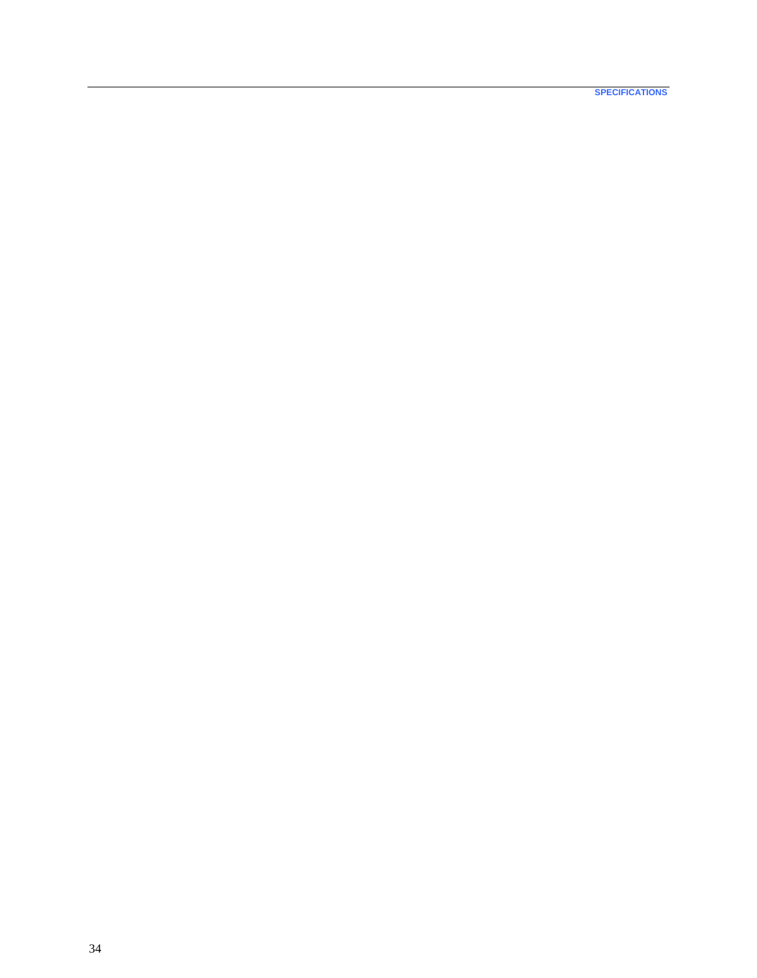**SPECIFICATIONS**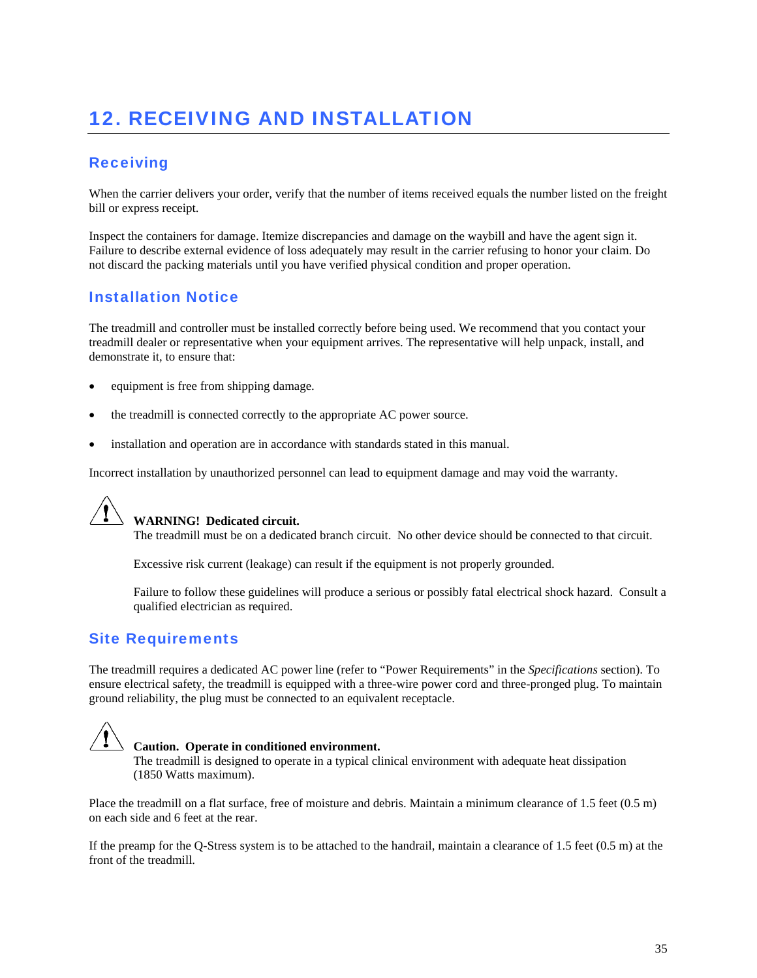## 12. RECEIVING AND INSTALLATION

## Receiving

When the carrier delivers your order, verify that the number of items received equals the number listed on the freight bill or express receipt.

Inspect the containers for damage. Itemize discrepancies and damage on the waybill and have the agent sign it. Failure to describe external evidence of loss adequately may result in the carrier refusing to honor your claim. Do not discard the packing materials until you have verified physical condition and proper operation.

## Installation Notice

The treadmill and controller must be installed correctly before being used. We recommend that you contact your treadmill dealer or representative when your equipment arrives. The representative will help unpack, install, and demonstrate it, to ensure that:

- equipment is free from shipping damage.
- the treadmill is connected correctly to the appropriate AC power source.
- installation and operation are in accordance with standards stated in this manual.

Incorrect installation by unauthorized personnel can lead to equipment damage and may void the warranty.



#### **WARNING! Dedicated circuit.**

The treadmill must be on a dedicated branch circuit. No other device should be connected to that circuit.

Excessive risk current (leakage) can result if the equipment is not properly grounded.

Failure to follow these guidelines will produce a serious or possibly fatal electrical shock hazard. Consult a qualified electrician as required.

#### Site Requirements

The treadmill requires a dedicated AC power line (refer to "Power Requirements" in the *Specifications* section). To ensure electrical safety, the treadmill is equipped with a three-wire power cord and three-pronged plug. To maintain ground reliability, the plug must be connected to an equivalent receptacle.



#### **Caution. Operate in conditioned environment.**

The treadmill is designed to operate in a typical clinical environment with adequate heat dissipation (1850 Watts maximum).

Place the treadmill on a flat surface, free of moisture and debris. Maintain a minimum clearance of 1.5 feet (0.5 m) on each side and 6 feet at the rear.

If the preamp for the Q-Stress system is to be attached to the handrail, maintain a clearance of 1.5 feet (0.5 m) at the front of the treadmill.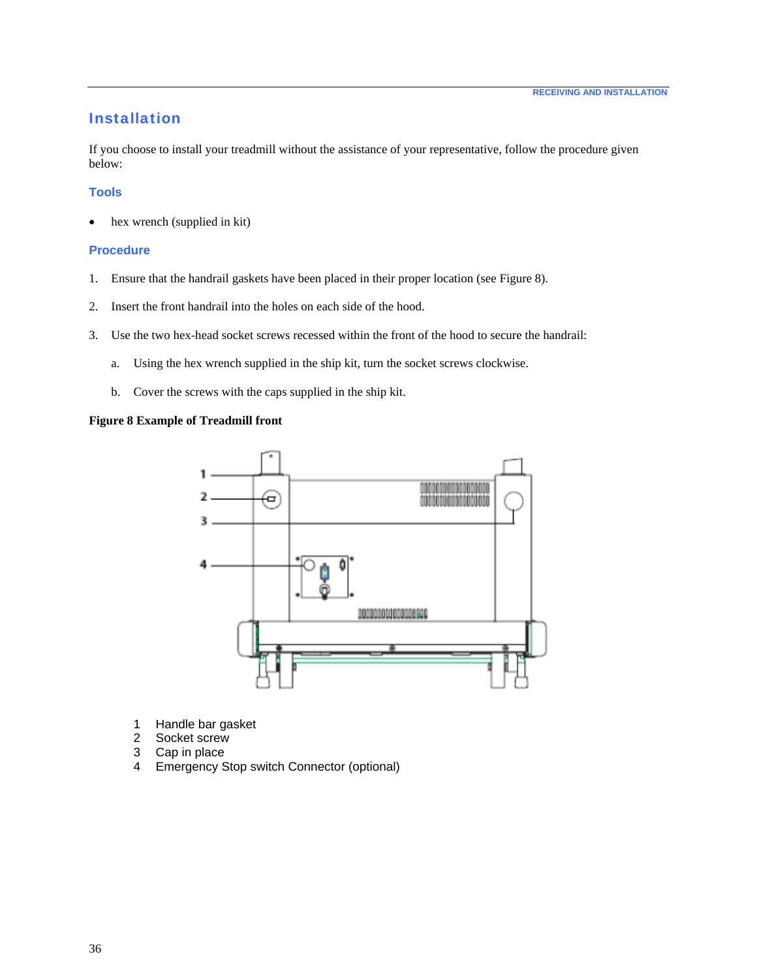### Installation

If you choose to install your treadmill without the assistance of your representative, follow the procedure given below:

#### **Tools**

• hex wrench (supplied in kit)

#### **Procedure**

- 1. Ensure that the handrail gaskets have been placed in their proper location (see Figure 8).
- 2. Insert the front handrail into the holes on each side of the hood.
- 3. Use the two hex-head socket screws recessed within the front of the hood to secure the handrail:
	- a. Using the hex wrench supplied in the ship kit, turn the socket screws clockwise.
	- b. Cover the screws with the caps supplied in the ship kit.

#### **Figure 8 Example of Treadmill front**



- 1 Handle bar gasket
- 2 Socket screw
- 3 Cap in place
- 4 Emergency Stop switch Connector (optional)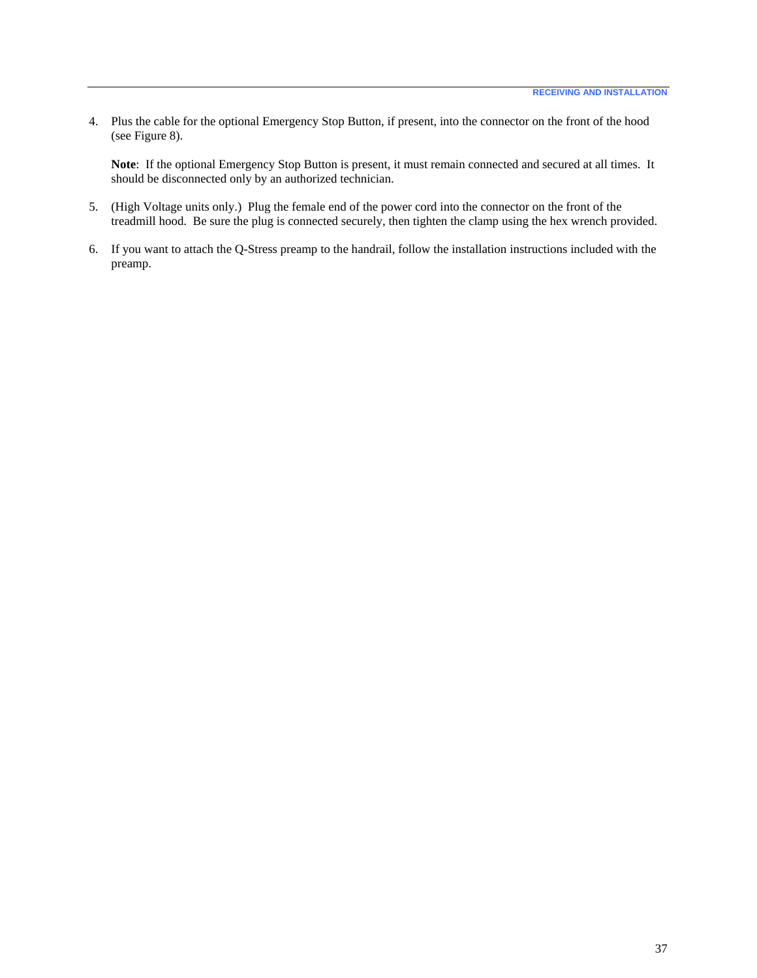4. Plus the cable for the optional Emergency Stop Button, if present, into the connector on the front of the hood (see Figure 8).

**Note**: If the optional Emergency Stop Button is present, it must remain connected and secured at all times. It should be disconnected only by an authorized technician.

- 5. (High Voltage units only.) Plug the female end of the power cord into the connector on the front of the treadmill hood. Be sure the plug is connected securely, then tighten the clamp using the hex wrench provided.
- 6. If you want to attach the Q-Stress preamp to the handrail, follow the installation instructions included with the preamp.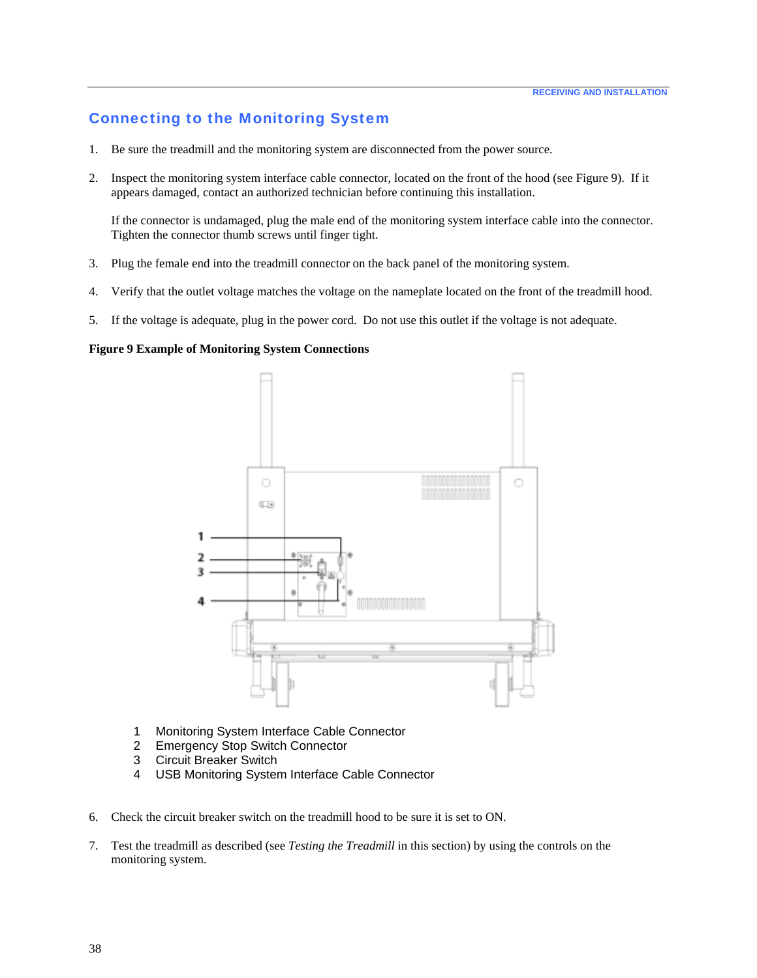### Connecting to the Monitoring System

- 1. Be sure the treadmill and the monitoring system are disconnected from the power source.
- 2. Inspect the monitoring system interface cable connector, located on the front of the hood (see Figure 9). If it appears damaged, contact an authorized technician before continuing this installation.

If the connector is undamaged, plug the male end of the monitoring system interface cable into the connector. Tighten the connector thumb screws until finger tight.

- 3. Plug the female end into the treadmill connector on the back panel of the monitoring system.
- 4. Verify that the outlet voltage matches the voltage on the nameplate located on the front of the treadmill hood.
- 5. If the voltage is adequate, plug in the power cord. Do not use this outlet if the voltage is not adequate.

#### **Figure 9 Example of Monitoring System Connections**



- 1 Monitoring System Interface Cable Connector
- 2 Emergency Stop Switch Connector
- 3 Circuit Breaker Switch
- 4 USB Monitoring System Interface Cable Connector
- 6. Check the circuit breaker switch on the treadmill hood to be sure it is set to ON.
- 7. Test the treadmill as described (see *Testing the Treadmill* in this section) by using the controls on the monitoring system.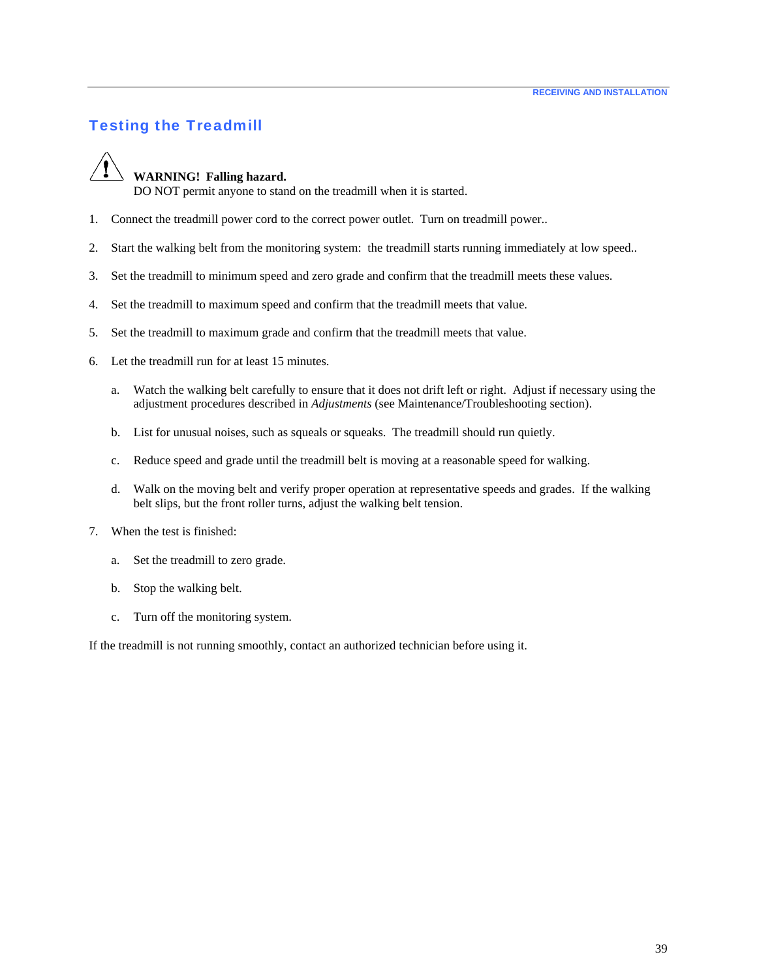## Testing the Treadmill

## **WARNING! Falling hazard.**

DO NOT permit anyone to stand on the treadmill when it is started.

- 1. Connect the treadmill power cord to the correct power outlet. Turn on treadmill power..
- 2. Start the walking belt from the monitoring system: the treadmill starts running immediately at low speed..
- 3. Set the treadmill to minimum speed and zero grade and confirm that the treadmill meets these values.
- 4. Set the treadmill to maximum speed and confirm that the treadmill meets that value.
- 5. Set the treadmill to maximum grade and confirm that the treadmill meets that value.
- 6. Let the treadmill run for at least 15 minutes.
	- a. Watch the walking belt carefully to ensure that it does not drift left or right. Adjust if necessary using the adjustment procedures described in *Adjustments* (see Maintenance/Troubleshooting section).
	- b. List for unusual noises, such as squeals or squeaks. The treadmill should run quietly.
	- c. Reduce speed and grade until the treadmill belt is moving at a reasonable speed for walking.
	- d. Walk on the moving belt and verify proper operation at representative speeds and grades. If the walking belt slips, but the front roller turns, adjust the walking belt tension.
- 7. When the test is finished:
	- a. Set the treadmill to zero grade.
	- b. Stop the walking belt.
	- c. Turn off the monitoring system.

If the treadmill is not running smoothly, contact an authorized technician before using it.